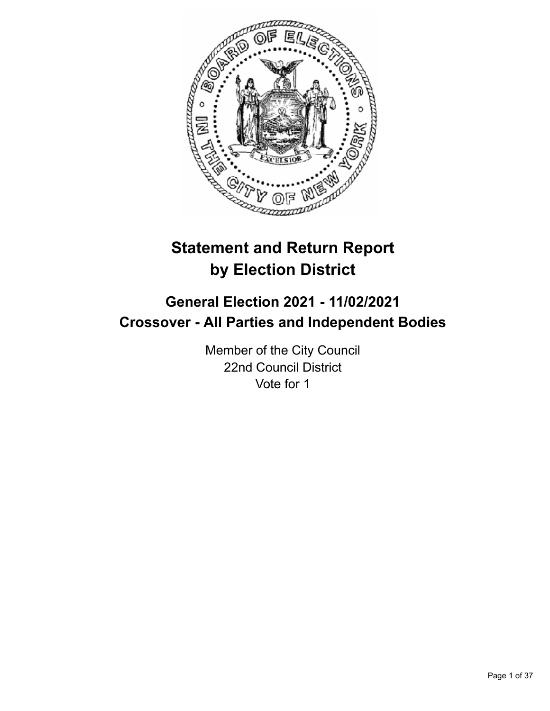

# **Statement and Return Report by Election District**

# **General Election 2021 - 11/02/2021 Crossover - All Parties and Independent Bodies**

Member of the City Council 22nd Council District Vote for 1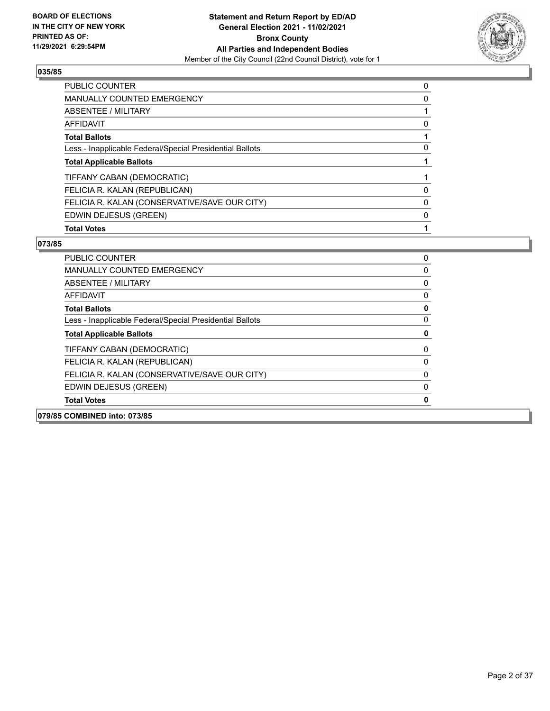

| <b>PUBLIC COUNTER</b>                                    | 0 |
|----------------------------------------------------------|---|
| MANUALLY COUNTED EMERGENCY                               | 0 |
| ABSENTEE / MILITARY                                      |   |
| <b>AFFIDAVIT</b>                                         | 0 |
| <b>Total Ballots</b>                                     |   |
| Less - Inapplicable Federal/Special Presidential Ballots | 0 |
| <b>Total Applicable Ballots</b>                          |   |
| TIFFANY CABAN (DEMOCRATIC)                               |   |
| FELICIA R. KALAN (REPUBLICAN)                            | 0 |
| FELICIA R. KALAN (CONSERVATIVE/SAVE OUR CITY)            | 0 |
| EDWIN DEJESUS (GREEN)                                    | 0 |
| <b>Total Votes</b>                                       |   |

| 079/85 COMBINED into: 073/85                             |              |
|----------------------------------------------------------|--------------|
| <b>Total Votes</b>                                       | $\mathbf{0}$ |
| EDWIN DEJESUS (GREEN)                                    | $\Omega$     |
| FELICIA R. KALAN (CONSERVATIVE/SAVE OUR CITY)            | $\Omega$     |
| FELICIA R. KALAN (REPUBLICAN)                            | 0            |
| TIFFANY CABAN (DEMOCRATIC)                               | 0            |
| <b>Total Applicable Ballots</b>                          | 0            |
| Less - Inapplicable Federal/Special Presidential Ballots | $\Omega$     |
| <b>Total Ballots</b>                                     | 0            |
| AFFIDAVIT                                                | 0            |
| ABSENTEE / MILITARY                                      | $\Omega$     |
| <b>MANUALLY COUNTED EMERGENCY</b>                        | 0            |
| PUBLIC COUNTER                                           | 0            |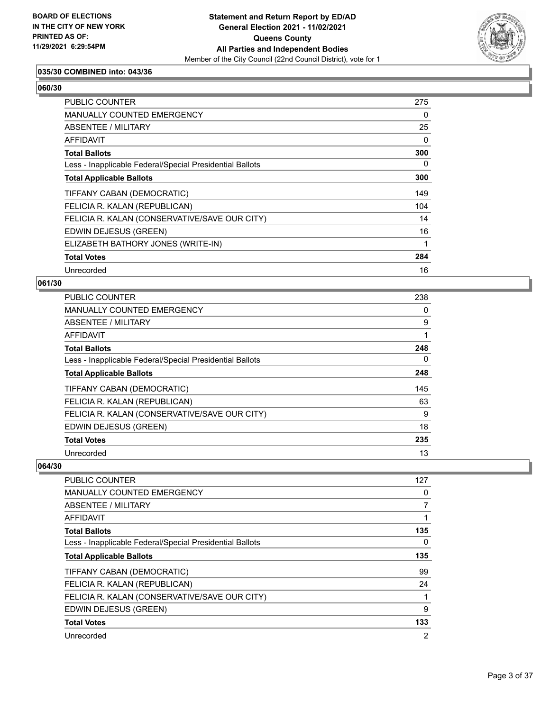

# **035/30 COMBINED into: 043/36**

# **060/30**

| PUBLIC COUNTER                                           | 275      |
|----------------------------------------------------------|----------|
| <b>MANUALLY COUNTED EMERGENCY</b>                        | 0        |
| ABSENTEE / MILITARY                                      | 25       |
| AFFIDAVIT                                                | $\Omega$ |
| <b>Total Ballots</b>                                     | 300      |
| Less - Inapplicable Federal/Special Presidential Ballots | 0        |
| <b>Total Applicable Ballots</b>                          | 300      |
| TIFFANY CABAN (DEMOCRATIC)                               | 149      |
| FELICIA R. KALAN (REPUBLICAN)                            | 104      |
| FELICIA R. KALAN (CONSERVATIVE/SAVE OUR CITY)            | 14       |
| EDWIN DEJESUS (GREEN)                                    | 16       |
| ELIZABETH BATHORY JONES (WRITE-IN)                       | 1        |
| <b>Total Votes</b>                                       | 284      |
| Unrecorded                                               | 16       |

#### **061/30**

| <b>PUBLIC COUNTER</b>                                    | 238 |
|----------------------------------------------------------|-----|
| <b>MANUALLY COUNTED EMERGENCY</b>                        | 0   |
| ABSENTEE / MILITARY                                      | 9   |
| <b>AFFIDAVIT</b>                                         |     |
| <b>Total Ballots</b>                                     | 248 |
| Less - Inapplicable Federal/Special Presidential Ballots | 0   |
| <b>Total Applicable Ballots</b>                          | 248 |
| TIFFANY CABAN (DEMOCRATIC)                               | 145 |
| FELICIA R. KALAN (REPUBLICAN)                            | 63  |
| FELICIA R. KALAN (CONSERVATIVE/SAVE OUR CITY)            | 9   |
| EDWIN DEJESUS (GREEN)                                    | 18  |
| <b>Total Votes</b>                                       | 235 |
| Unrecorded                                               | 13  |

| <b>PUBLIC COUNTER</b>                                    | 127 |
|----------------------------------------------------------|-----|
| <b>MANUALLY COUNTED EMERGENCY</b>                        | 0   |
| ABSENTEE / MILITARY                                      | 7   |
| AFFIDAVIT                                                | 1   |
| <b>Total Ballots</b>                                     | 135 |
| Less - Inapplicable Federal/Special Presidential Ballots | 0   |
| <b>Total Applicable Ballots</b>                          | 135 |
| TIFFANY CABAN (DEMOCRATIC)                               | 99  |
| FELICIA R. KALAN (REPUBLICAN)                            | 24  |
| FELICIA R. KALAN (CONSERVATIVE/SAVE OUR CITY)            |     |
| EDWIN DEJESUS (GREEN)                                    | 9   |
| <b>Total Votes</b>                                       | 133 |
| Unrecorded                                               | 2   |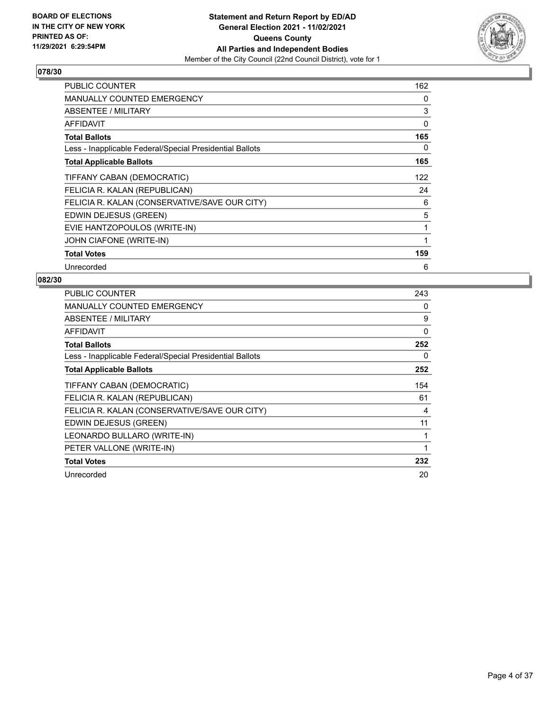

| PUBLIC COUNTER                                           | 162 |
|----------------------------------------------------------|-----|
| <b>MANUALLY COUNTED EMERGENCY</b>                        | 0   |
| <b>ABSENTEE / MILITARY</b>                               | 3   |
| AFFIDAVIT                                                | 0   |
| <b>Total Ballots</b>                                     | 165 |
| Less - Inapplicable Federal/Special Presidential Ballots | 0   |
| <b>Total Applicable Ballots</b>                          | 165 |
| TIFFANY CABAN (DEMOCRATIC)                               | 122 |
| FELICIA R. KALAN (REPUBLICAN)                            | 24  |
| FELICIA R. KALAN (CONSERVATIVE/SAVE OUR CITY)            | 6   |
| EDWIN DEJESUS (GREEN)                                    | 5   |
| EVIE HANTZOPOULOS (WRITE-IN)                             | 1   |
| JOHN CIAFONE (WRITE-IN)                                  | 1   |
| <b>Total Votes</b>                                       | 159 |
| Unrecorded                                               | 6   |

| PUBLIC COUNTER                                           | 243 |
|----------------------------------------------------------|-----|
| <b>MANUALLY COUNTED EMERGENCY</b>                        | 0   |
| <b>ABSENTEE / MILITARY</b>                               | 9   |
| <b>AFFIDAVIT</b>                                         | 0   |
| <b>Total Ballots</b>                                     | 252 |
| Less - Inapplicable Federal/Special Presidential Ballots | 0   |
| <b>Total Applicable Ballots</b>                          | 252 |
| TIFFANY CABAN (DEMOCRATIC)                               | 154 |
| FELICIA R. KALAN (REPUBLICAN)                            | 61  |
| FELICIA R. KALAN (CONSERVATIVE/SAVE OUR CITY)            | 4   |
| EDWIN DEJESUS (GREEN)                                    | 11  |
| LEONARDO BULLARO (WRITE-IN)                              | 1   |
| PETER VALLONE (WRITE-IN)                                 | 1   |
| <b>Total Votes</b>                                       | 232 |
| Unrecorded                                               | 20  |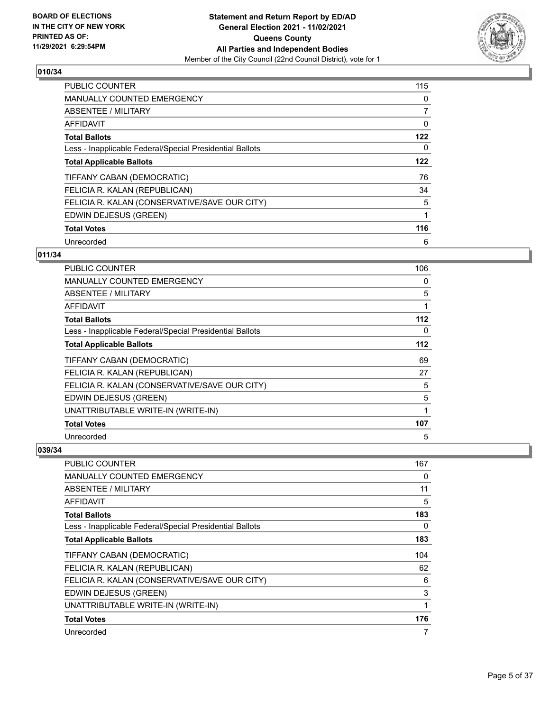

| <b>PUBLIC COUNTER</b>                                    | 115 |
|----------------------------------------------------------|-----|
| <b>MANUALLY COUNTED EMERGENCY</b>                        | 0   |
| ABSENTEE / MILITARY                                      | 7   |
| AFFIDAVIT                                                | 0   |
| <b>Total Ballots</b>                                     | 122 |
| Less - Inapplicable Federal/Special Presidential Ballots | 0   |
| <b>Total Applicable Ballots</b>                          | 122 |
| TIFFANY CABAN (DEMOCRATIC)                               | 76  |
| FELICIA R. KALAN (REPUBLICAN)                            | 34  |
| FELICIA R. KALAN (CONSERVATIVE/SAVE OUR CITY)            | 5   |
| EDWIN DEJESUS (GREEN)                                    | 1   |
| <b>Total Votes</b>                                       | 116 |
| Unrecorded                                               | 6   |

# **011/34**

| PUBLIC COUNTER                                           | 106 |
|----------------------------------------------------------|-----|
| <b>MANUALLY COUNTED EMERGENCY</b>                        | 0   |
| ABSENTEE / MILITARY                                      | 5   |
| AFFIDAVIT                                                | 1   |
| <b>Total Ballots</b>                                     | 112 |
| Less - Inapplicable Federal/Special Presidential Ballots | 0   |
| <b>Total Applicable Ballots</b>                          | 112 |
| TIFFANY CABAN (DEMOCRATIC)                               | 69  |
| FELICIA R. KALAN (REPUBLICAN)                            | 27  |
| FELICIA R. KALAN (CONSERVATIVE/SAVE OUR CITY)            | 5   |
| EDWIN DEJESUS (GREEN)                                    | 5   |
| UNATTRIBUTABLE WRITE-IN (WRITE-IN)                       |     |
| <b>Total Votes</b>                                       | 107 |
| Unrecorded                                               | 5   |

| <b>PUBLIC COUNTER</b>                                    | 167 |
|----------------------------------------------------------|-----|
| <b>MANUALLY COUNTED EMERGENCY</b>                        | 0   |
| ABSENTEE / MILITARY                                      | 11  |
| AFFIDAVIT                                                | 5   |
| <b>Total Ballots</b>                                     | 183 |
| Less - Inapplicable Federal/Special Presidential Ballots | 0   |
| <b>Total Applicable Ballots</b>                          | 183 |
| TIFFANY CABAN (DEMOCRATIC)                               | 104 |
| FELICIA R. KALAN (REPUBLICAN)                            | 62  |
| FELICIA R. KALAN (CONSERVATIVE/SAVE OUR CITY)            | 6   |
| EDWIN DEJESUS (GREEN)                                    | 3   |
| UNATTRIBUTABLE WRITE-IN (WRITE-IN)                       | 1   |
| <b>Total Votes</b>                                       | 176 |
| Unrecorded                                               | 7   |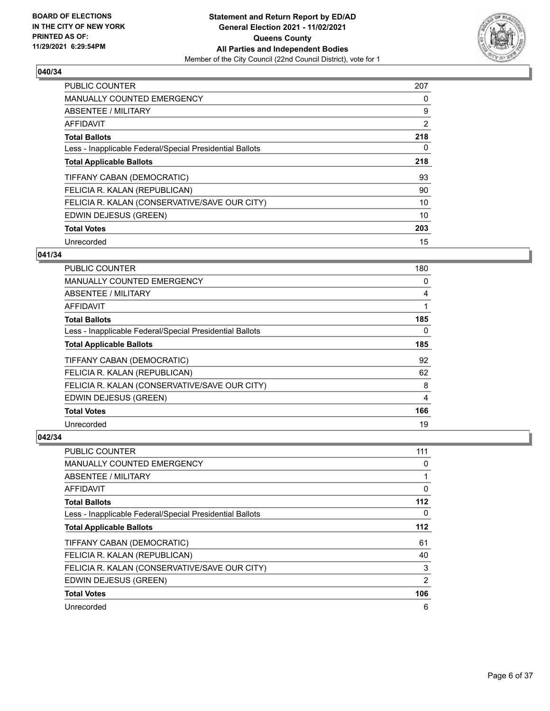

| <b>PUBLIC COUNTER</b>                                    | 207      |
|----------------------------------------------------------|----------|
| <b>MANUALLY COUNTED EMERGENCY</b>                        | 0        |
| ABSENTEE / MILITARY                                      | 9        |
| AFFIDAVIT                                                | 2        |
| <b>Total Ballots</b>                                     | 218      |
| Less - Inapplicable Federal/Special Presidential Ballots | $\Omega$ |
| <b>Total Applicable Ballots</b>                          | 218      |
| TIFFANY CABAN (DEMOCRATIC)                               | 93       |
| FELICIA R. KALAN (REPUBLICAN)                            | 90       |
| FELICIA R. KALAN (CONSERVATIVE/SAVE OUR CITY)            | 10       |
| EDWIN DEJESUS (GREEN)                                    | 10       |
| <b>Total Votes</b>                                       | 203      |
| Unrecorded                                               | 15       |

## **041/34**

| <b>PUBLIC COUNTER</b>                                    | 180 |
|----------------------------------------------------------|-----|
| <b>MANUALLY COUNTED EMERGENCY</b>                        | 0   |
| ABSENTEE / MILITARY                                      | 4   |
| AFFIDAVIT                                                |     |
| <b>Total Ballots</b>                                     | 185 |
| Less - Inapplicable Federal/Special Presidential Ballots | 0   |
| <b>Total Applicable Ballots</b>                          | 185 |
| TIFFANY CABAN (DEMOCRATIC)                               | 92  |
| FELICIA R. KALAN (REPUBLICAN)                            | 62  |
| FELICIA R. KALAN (CONSERVATIVE/SAVE OUR CITY)            | 8   |
| EDWIN DEJESUS (GREEN)                                    | 4   |
| <b>Total Votes</b>                                       | 166 |
| Unrecorded                                               | 19  |

| <b>PUBLIC COUNTER</b>                                    | 111            |
|----------------------------------------------------------|----------------|
| MANUALLY COUNTED EMERGENCY                               | 0              |
| ABSENTEE / MILITARY                                      |                |
| AFFIDAVIT                                                | 0              |
| <b>Total Ballots</b>                                     | 112            |
| Less - Inapplicable Federal/Special Presidential Ballots | 0              |
| <b>Total Applicable Ballots</b>                          | 112            |
| TIFFANY CABAN (DEMOCRATIC)                               | 61             |
| FELICIA R. KALAN (REPUBLICAN)                            | 40             |
| FELICIA R. KALAN (CONSERVATIVE/SAVE OUR CITY)            | 3              |
| EDWIN DEJESUS (GREEN)                                    | $\overline{2}$ |
| <b>Total Votes</b>                                       | 106            |
| Unrecorded                                               | 6              |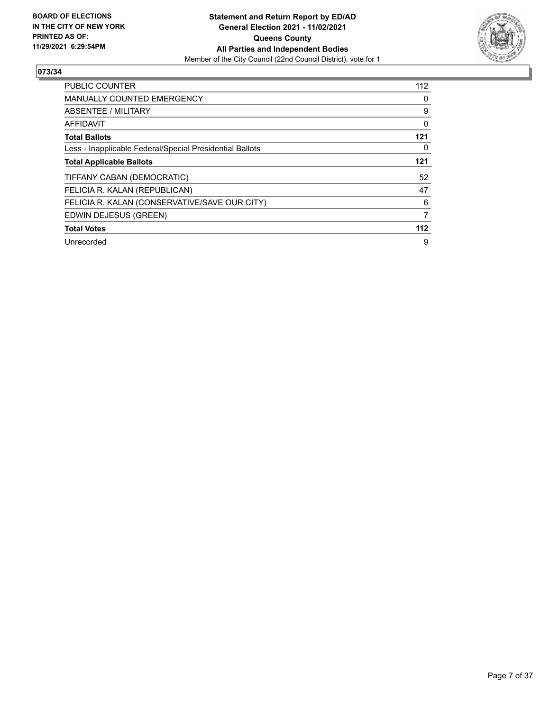

| <b>PUBLIC COUNTER</b>                                    | 112 |
|----------------------------------------------------------|-----|
| <b>MANUALLY COUNTED EMERGENCY</b>                        | 0   |
| ABSENTEE / MILITARY                                      | 9   |
| AFFIDAVIT                                                | 0   |
| <b>Total Ballots</b>                                     | 121 |
| Less - Inapplicable Federal/Special Presidential Ballots | 0   |
| <b>Total Applicable Ballots</b>                          | 121 |
| TIFFANY CABAN (DEMOCRATIC)                               | 52  |
| FELICIA R. KALAN (REPUBLICAN)                            | 47  |
| FELICIA R. KALAN (CONSERVATIVE/SAVE OUR CITY)            | 6   |
| EDWIN DEJESUS (GREEN)                                    | 7   |
| <b>Total Votes</b>                                       | 112 |
| Unrecorded                                               | 9   |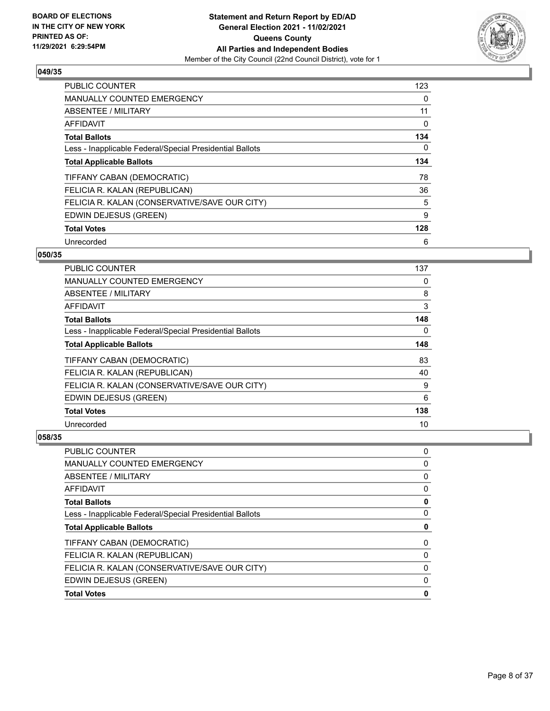

| <b>PUBLIC COUNTER</b>                                    | 123 |
|----------------------------------------------------------|-----|
| <b>MANUALLY COUNTED EMERGENCY</b>                        | 0   |
| ABSENTEE / MILITARY                                      | 11  |
| AFFIDAVIT                                                | 0   |
| <b>Total Ballots</b>                                     | 134 |
| Less - Inapplicable Federal/Special Presidential Ballots | 0   |
| <b>Total Applicable Ballots</b>                          | 134 |
| TIFFANY CABAN (DEMOCRATIC)                               | 78  |
| FELICIA R. KALAN (REPUBLICAN)                            | 36  |
| FELICIA R. KALAN (CONSERVATIVE/SAVE OUR CITY)            | 5   |
| EDWIN DEJESUS (GREEN)                                    | 9   |
| <b>Total Votes</b>                                       | 128 |
| Unrecorded                                               | 6   |

## **050/35**

| <b>PUBLIC COUNTER</b>                                    | 137 |
|----------------------------------------------------------|-----|
| <b>MANUALLY COUNTED EMERGENCY</b>                        | 0   |
| ABSENTEE / MILITARY                                      | 8   |
| AFFIDAVIT                                                | 3   |
| <b>Total Ballots</b>                                     | 148 |
| Less - Inapplicable Federal/Special Presidential Ballots | 0   |
| <b>Total Applicable Ballots</b>                          | 148 |
| TIFFANY CABAN (DEMOCRATIC)                               | 83  |
| FELICIA R. KALAN (REPUBLICAN)                            | 40  |
| FELICIA R. KALAN (CONSERVATIVE/SAVE OUR CITY)            | 9   |
| EDWIN DEJESUS (GREEN)                                    | 6   |
| <b>Total Votes</b>                                       | 138 |
| Unrecorded                                               | 10  |

| PUBLIC COUNTER                                           | 0 |
|----------------------------------------------------------|---|
| <b>MANUALLY COUNTED EMERGENCY</b>                        | 0 |
| ABSENTEE / MILITARY                                      | 0 |
| AFFIDAVIT                                                | 0 |
| <b>Total Ballots</b>                                     | 0 |
| Less - Inapplicable Federal/Special Presidential Ballots | 0 |
| <b>Total Applicable Ballots</b>                          | 0 |
|                                                          |   |
| TIFFANY CABAN (DEMOCRATIC)                               | 0 |
| FELICIA R. KALAN (REPUBLICAN)                            | 0 |
| FELICIA R. KALAN (CONSERVATIVE/SAVE OUR CITY)            | 0 |
| EDWIN DEJESUS (GREEN)                                    | 0 |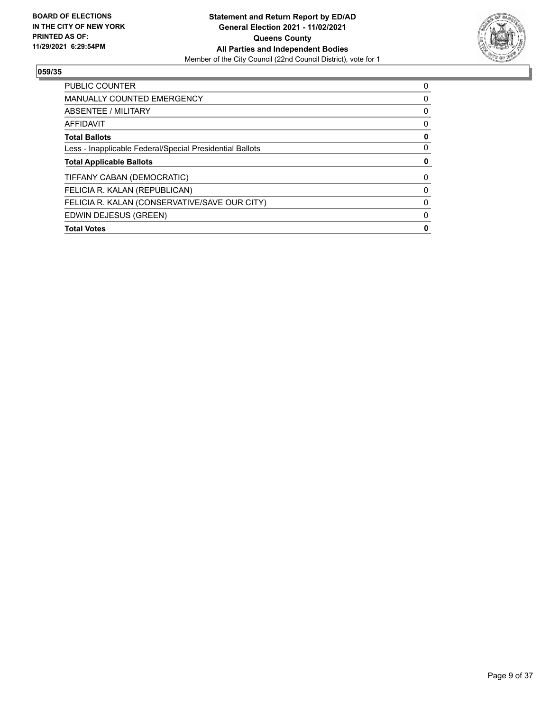

| <b>PUBLIC COUNTER</b>                                    | 0        |
|----------------------------------------------------------|----------|
| <b>MANUALLY COUNTED EMERGENCY</b>                        | 0        |
| ABSENTEE / MILITARY                                      | 0        |
| AFFIDAVIT                                                | $\Omega$ |
| <b>Total Ballots</b>                                     | 0        |
| Less - Inapplicable Federal/Special Presidential Ballots | 0        |
| <b>Total Applicable Ballots</b>                          |          |
| TIFFANY CABAN (DEMOCRATIC)                               | 0        |
| FELICIA R. KALAN (REPUBLICAN)                            | $\Omega$ |
| FELICIA R. KALAN (CONSERVATIVE/SAVE OUR CITY)            | 0        |
| EDWIN DEJESUS (GREEN)                                    | 0        |
| <b>Total Votes</b>                                       | 0        |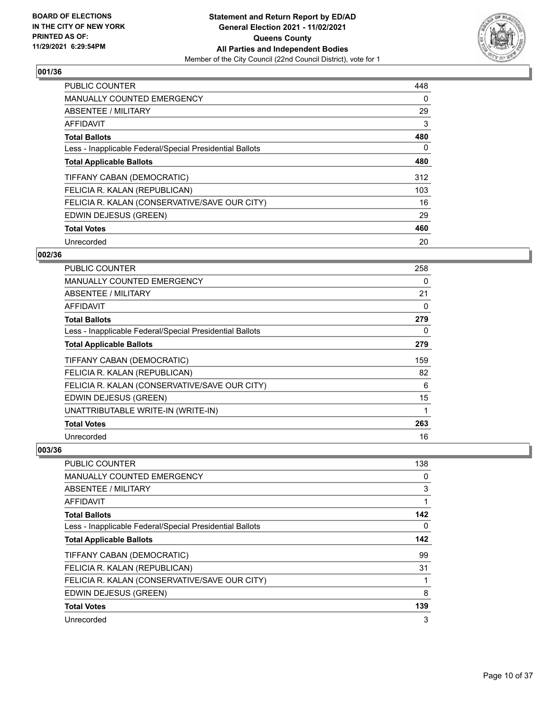

| <b>PUBLIC COUNTER</b>                                    | 448      |
|----------------------------------------------------------|----------|
| <b>MANUALLY COUNTED EMERGENCY</b>                        | 0        |
| ABSENTEE / MILITARY                                      | 29       |
| <b>AFFIDAVIT</b>                                         | 3        |
| <b>Total Ballots</b>                                     | 480      |
| Less - Inapplicable Federal/Special Presidential Ballots | $\Omega$ |
| <b>Total Applicable Ballots</b>                          | 480      |
| TIFFANY CABAN (DEMOCRATIC)                               | 312      |
| FELICIA R. KALAN (REPUBLICAN)                            | 103      |
| FELICIA R. KALAN (CONSERVATIVE/SAVE OUR CITY)            | 16       |
| EDWIN DEJESUS (GREEN)                                    | 29       |
| <b>Total Votes</b>                                       | 460      |
| Unrecorded                                               | 20       |

## **002/36**

| <b>PUBLIC COUNTER</b>                                    | 258 |
|----------------------------------------------------------|-----|
| <b>MANUALLY COUNTED EMERGENCY</b>                        | 0   |
| ABSENTEE / MILITARY                                      | 21  |
| AFFIDAVIT                                                | 0   |
| <b>Total Ballots</b>                                     | 279 |
| Less - Inapplicable Federal/Special Presidential Ballots | 0   |
| <b>Total Applicable Ballots</b>                          | 279 |
| TIFFANY CABAN (DEMOCRATIC)                               | 159 |
| FELICIA R. KALAN (REPUBLICAN)                            | 82  |
| FELICIA R. KALAN (CONSERVATIVE/SAVE OUR CITY)            | 6   |
| EDWIN DEJESUS (GREEN)                                    | 15  |
| UNATTRIBUTABLE WRITE-IN (WRITE-IN)                       | 1   |
| <b>Total Votes</b>                                       | 263 |
| Unrecorded                                               | 16  |

| <b>PUBLIC COUNTER</b>                                    | 138 |
|----------------------------------------------------------|-----|
| <b>MANUALLY COUNTED EMERGENCY</b>                        | 0   |
| ABSENTEE / MILITARY                                      | 3   |
| AFFIDAVIT                                                |     |
| <b>Total Ballots</b>                                     | 142 |
| Less - Inapplicable Federal/Special Presidential Ballots | 0   |
| <b>Total Applicable Ballots</b>                          | 142 |
| TIFFANY CABAN (DEMOCRATIC)                               | 99  |
| FELICIA R. KALAN (REPUBLICAN)                            | 31  |
| FELICIA R. KALAN (CONSERVATIVE/SAVE OUR CITY)            |     |
| EDWIN DEJESUS (GREEN)                                    | 8   |
| <b>Total Votes</b>                                       | 139 |
| Unrecorded                                               | 3   |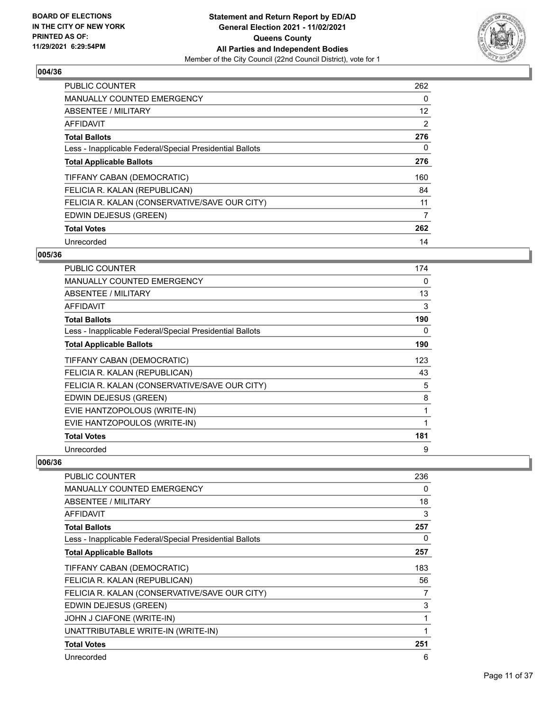

| <b>PUBLIC COUNTER</b>                                    | 262      |
|----------------------------------------------------------|----------|
| MANUALLY COUNTED EMERGENCY                               | 0        |
| ABSENTEE / MILITARY                                      | 12       |
| AFFIDAVIT                                                | 2        |
| <b>Total Ballots</b>                                     | 276      |
| Less - Inapplicable Federal/Special Presidential Ballots | $\Omega$ |
| <b>Total Applicable Ballots</b>                          | 276      |
| TIFFANY CABAN (DEMOCRATIC)                               | 160      |
| FELICIA R. KALAN (REPUBLICAN)                            | 84       |
| FELICIA R. KALAN (CONSERVATIVE/SAVE OUR CITY)            | 11       |
| EDWIN DEJESUS (GREEN)                                    | 7        |
| <b>Total Votes</b>                                       | 262      |
| Unrecorded                                               | 14       |

## **005/36**

| <b>PUBLIC COUNTER</b>                                    | 174 |
|----------------------------------------------------------|-----|
| <b>MANUALLY COUNTED EMERGENCY</b>                        | 0   |
| <b>ABSENTEE / MILITARY</b>                               | 13  |
| <b>AFFIDAVIT</b>                                         | 3   |
| <b>Total Ballots</b>                                     | 190 |
| Less - Inapplicable Federal/Special Presidential Ballots | 0   |
| <b>Total Applicable Ballots</b>                          | 190 |
| TIFFANY CABAN (DEMOCRATIC)                               | 123 |
| FELICIA R. KALAN (REPUBLICAN)                            | 43  |
| FELICIA R. KALAN (CONSERVATIVE/SAVE OUR CITY)            | 5   |
| EDWIN DEJESUS (GREEN)                                    | 8   |
| EVIE HANTZOPOLOUS (WRITE-IN)                             | 1   |
| EVIE HANTZOPOULOS (WRITE-IN)                             | 1   |
| <b>Total Votes</b>                                       | 181 |
| Unrecorded                                               | 9   |

| PUBLIC COUNTER                                           | 236          |
|----------------------------------------------------------|--------------|
| <b>MANUALLY COUNTED EMERGENCY</b>                        | 0            |
| <b>ABSENTEE / MILITARY</b>                               | 18           |
| <b>AFFIDAVIT</b>                                         | 3            |
| <b>Total Ballots</b>                                     | 257          |
| Less - Inapplicable Federal/Special Presidential Ballots | 0            |
| <b>Total Applicable Ballots</b>                          | 257          |
| TIFFANY CABAN (DEMOCRATIC)                               | 183          |
| FELICIA R. KALAN (REPUBLICAN)                            | 56           |
| FELICIA R. KALAN (CONSERVATIVE/SAVE OUR CITY)            | 7            |
| EDWIN DEJESUS (GREEN)                                    | 3            |
| JOHN J CIAFONE (WRITE-IN)                                | 1            |
| UNATTRIBUTABLE WRITE-IN (WRITE-IN)                       | $\mathbf{1}$ |
| <b>Total Votes</b>                                       | 251          |
| Unrecorded                                               | 6            |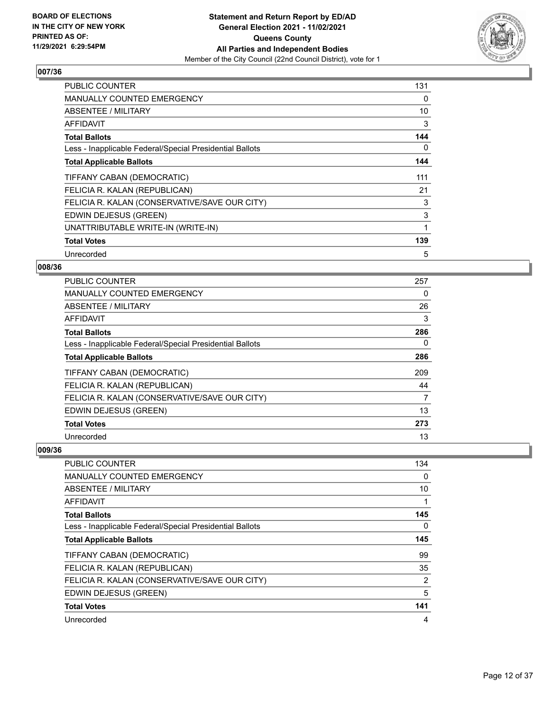

| <b>PUBLIC COUNTER</b>                                    | 131 |
|----------------------------------------------------------|-----|
| <b>MANUALLY COUNTED EMERGENCY</b>                        | 0   |
| ABSENTEE / MILITARY                                      | 10  |
| <b>AFFIDAVIT</b>                                         | 3   |
| <b>Total Ballots</b>                                     | 144 |
| Less - Inapplicable Federal/Special Presidential Ballots | 0   |
| <b>Total Applicable Ballots</b>                          | 144 |
| TIFFANY CABAN (DEMOCRATIC)                               | 111 |
| FELICIA R. KALAN (REPUBLICAN)                            | 21  |
| FELICIA R. KALAN (CONSERVATIVE/SAVE OUR CITY)            | 3   |
| EDWIN DEJESUS (GREEN)                                    | 3   |
| UNATTRIBUTABLE WRITE-IN (WRITE-IN)                       | 1   |
| <b>Total Votes</b>                                       | 139 |
| Unrecorded                                               | 5   |

## **008/36**

| PUBLIC COUNTER                                           | 257 |
|----------------------------------------------------------|-----|
| <b>MANUALLY COUNTED EMERGENCY</b>                        | 0   |
| ABSENTEE / MILITARY                                      | 26  |
| AFFIDAVIT                                                | 3   |
| <b>Total Ballots</b>                                     | 286 |
| Less - Inapplicable Federal/Special Presidential Ballots | 0   |
| <b>Total Applicable Ballots</b>                          | 286 |
| TIFFANY CABAN (DEMOCRATIC)                               | 209 |
| FELICIA R. KALAN (REPUBLICAN)                            | 44  |
| FELICIA R. KALAN (CONSERVATIVE/SAVE OUR CITY)            | 7   |
| EDWIN DEJESUS (GREEN)                                    | 13  |
| <b>Total Votes</b>                                       | 273 |
| Unrecorded                                               | 13  |

| PUBLIC COUNTER                                           | 134 |
|----------------------------------------------------------|-----|
| <b>MANUALLY COUNTED EMERGENCY</b>                        | 0   |
| ABSENTEE / MILITARY                                      | 10  |
| AFFIDAVIT                                                |     |
| <b>Total Ballots</b>                                     | 145 |
| Less - Inapplicable Federal/Special Presidential Ballots | 0   |
| <b>Total Applicable Ballots</b>                          | 145 |
| TIFFANY CABAN (DEMOCRATIC)                               | 99  |
| FELICIA R. KALAN (REPUBLICAN)                            | 35  |
| FELICIA R. KALAN (CONSERVATIVE/SAVE OUR CITY)            | 2   |
| EDWIN DEJESUS (GREEN)                                    | 5   |
| <b>Total Votes</b>                                       | 141 |
| Unrecorded                                               | 4   |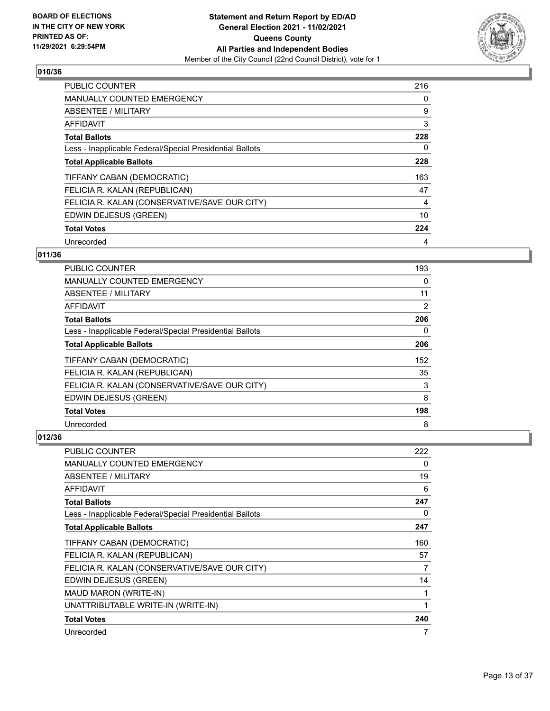

| <b>PUBLIC COUNTER</b>                                    | 216      |
|----------------------------------------------------------|----------|
| <b>MANUALLY COUNTED EMERGENCY</b>                        | 0        |
| ABSENTEE / MILITARY                                      | 9        |
| <b>AFFIDAVIT</b>                                         | 3        |
| <b>Total Ballots</b>                                     | 228      |
| Less - Inapplicable Federal/Special Presidential Ballots | $\Omega$ |
| <b>Total Applicable Ballots</b>                          | 228      |
| TIFFANY CABAN (DEMOCRATIC)                               | 163      |
| FELICIA R. KALAN (REPUBLICAN)                            | 47       |
| FELICIA R. KALAN (CONSERVATIVE/SAVE OUR CITY)            | 4        |
| EDWIN DEJESUS (GREEN)                                    | 10       |
| <b>Total Votes</b>                                       | 224      |
| Unrecorded                                               | 4        |

## **011/36**

| PUBLIC COUNTER                                           | 193 |
|----------------------------------------------------------|-----|
| <b>MANUALLY COUNTED EMERGENCY</b>                        | 0   |
| ABSENTEE / MILITARY                                      | 11  |
| <b>AFFIDAVIT</b>                                         | 2   |
| <b>Total Ballots</b>                                     | 206 |
| Less - Inapplicable Federal/Special Presidential Ballots | 0   |
| <b>Total Applicable Ballots</b>                          | 206 |
| TIFFANY CABAN (DEMOCRATIC)                               | 152 |
| FELICIA R. KALAN (REPUBLICAN)                            | 35  |
| FELICIA R. KALAN (CONSERVATIVE/SAVE OUR CITY)            | 3   |
| EDWIN DEJESUS (GREEN)                                    | 8   |
| <b>Total Votes</b>                                       | 198 |
| Unrecorded                                               | 8   |

| <b>PUBLIC COUNTER</b>                                    | 222 |
|----------------------------------------------------------|-----|
| <b>MANUALLY COUNTED EMERGENCY</b>                        | 0   |
| <b>ABSENTEE / MILITARY</b>                               | 19  |
| AFFIDAVIT                                                | 6   |
| <b>Total Ballots</b>                                     | 247 |
| Less - Inapplicable Federal/Special Presidential Ballots | 0   |
| <b>Total Applicable Ballots</b>                          | 247 |
| TIFFANY CABAN (DEMOCRATIC)                               | 160 |
| FELICIA R. KALAN (REPUBLICAN)                            | 57  |
| FELICIA R. KALAN (CONSERVATIVE/SAVE OUR CITY)            | 7   |
| EDWIN DEJESUS (GREEN)                                    | 14  |
| MAUD MARON (WRITE-IN)                                    |     |
| UNATTRIBUTABLE WRITE-IN (WRITE-IN)                       |     |
| <b>Total Votes</b>                                       | 240 |
| Unrecorded                                               | 7   |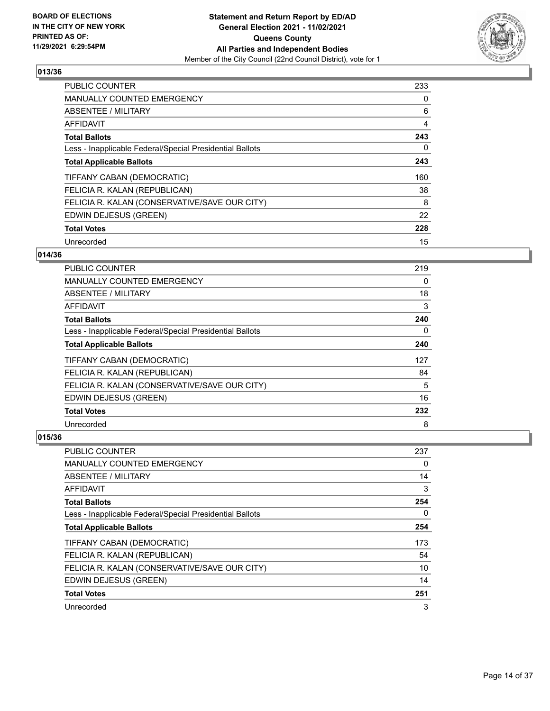

| <b>PUBLIC COUNTER</b>                                    | 233      |
|----------------------------------------------------------|----------|
| <b>MANUALLY COUNTED EMERGENCY</b>                        | 0        |
| ABSENTEE / MILITARY                                      | 6        |
| AFFIDAVIT                                                | 4        |
| <b>Total Ballots</b>                                     | 243      |
| Less - Inapplicable Federal/Special Presidential Ballots | $\Omega$ |
| <b>Total Applicable Ballots</b>                          | 243      |
| TIFFANY CABAN (DEMOCRATIC)                               | 160      |
| FELICIA R. KALAN (REPUBLICAN)                            | 38       |
| FELICIA R. KALAN (CONSERVATIVE/SAVE OUR CITY)            | 8        |
| EDWIN DEJESUS (GREEN)                                    | 22       |
| <b>Total Votes</b>                                       | 228      |
| Unrecorded                                               | 15       |

## **014/36**

| PUBLIC COUNTER                                           | 219 |
|----------------------------------------------------------|-----|
| <b>MANUALLY COUNTED EMERGENCY</b>                        | 0   |
| ABSENTEE / MILITARY                                      | 18  |
| <b>AFFIDAVIT</b>                                         | 3   |
| <b>Total Ballots</b>                                     | 240 |
| Less - Inapplicable Federal/Special Presidential Ballots | 0   |
| <b>Total Applicable Ballots</b>                          | 240 |
| TIFFANY CABAN (DEMOCRATIC)                               | 127 |
| FELICIA R. KALAN (REPUBLICAN)                            | 84  |
| FELICIA R. KALAN (CONSERVATIVE/SAVE OUR CITY)            | 5   |
| EDWIN DEJESUS (GREEN)                                    | 16  |
| <b>Total Votes</b>                                       | 232 |
| Unrecorded                                               | 8   |

| PUBLIC COUNTER                                           | 237      |
|----------------------------------------------------------|----------|
| <b>MANUALLY COUNTED EMERGENCY</b>                        | 0        |
| ABSENTEE / MILITARY                                      | 14       |
| AFFIDAVIT                                                | 3        |
| <b>Total Ballots</b>                                     | 254      |
| Less - Inapplicable Federal/Special Presidential Ballots | $\Omega$ |
| <b>Total Applicable Ballots</b>                          | 254      |
| TIFFANY CABAN (DEMOCRATIC)                               | 173      |
| FELICIA R. KALAN (REPUBLICAN)                            | 54       |
| FELICIA R. KALAN (CONSERVATIVE/SAVE OUR CITY)            | 10       |
| EDWIN DEJESUS (GREEN)                                    | 14       |
| <b>Total Votes</b>                                       | 251      |
| Unrecorded                                               | 3        |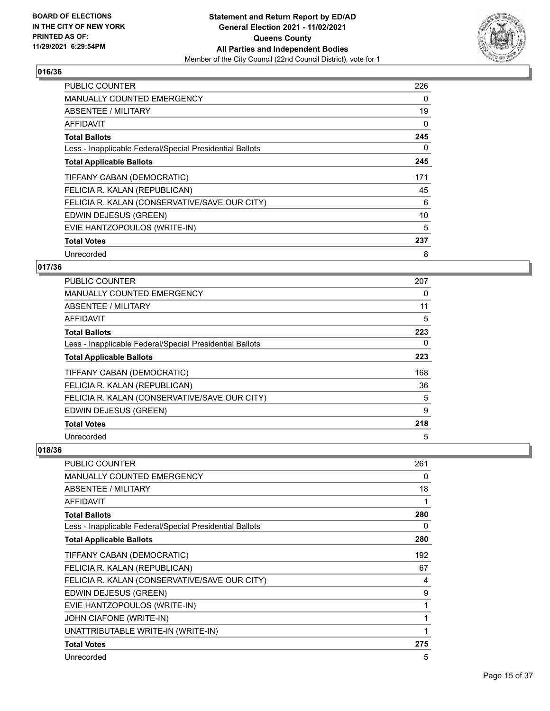

| <b>PUBLIC COUNTER</b>                                    | 226 |
|----------------------------------------------------------|-----|
| <b>MANUALLY COUNTED EMERGENCY</b>                        | 0   |
| ABSENTEE / MILITARY                                      | 19  |
| AFFIDAVIT                                                | 0   |
| <b>Total Ballots</b>                                     | 245 |
| Less - Inapplicable Federal/Special Presidential Ballots | 0   |
| <b>Total Applicable Ballots</b>                          | 245 |
| TIFFANY CABAN (DEMOCRATIC)                               | 171 |
| FELICIA R. KALAN (REPUBLICAN)                            | 45  |
| FELICIA R. KALAN (CONSERVATIVE/SAVE OUR CITY)            | 6   |
| EDWIN DEJESUS (GREEN)                                    | 10  |
|                                                          | 5   |
| EVIE HANTZOPOULOS (WRITE-IN)                             |     |
| <b>Total Votes</b>                                       | 237 |

## **017/36**

| <b>PUBLIC COUNTER</b>                                    | 207 |
|----------------------------------------------------------|-----|
| MANUALLY COUNTED EMERGENCY                               | 0   |
| ABSENTEE / MILITARY                                      | 11  |
| AFFIDAVIT                                                | 5   |
| <b>Total Ballots</b>                                     | 223 |
| Less - Inapplicable Federal/Special Presidential Ballots | 0   |
| <b>Total Applicable Ballots</b>                          | 223 |
| TIFFANY CABAN (DEMOCRATIC)                               | 168 |
| FELICIA R. KALAN (REPUBLICAN)                            | 36  |
| FELICIA R. KALAN (CONSERVATIVE/SAVE OUR CITY)            | 5   |
| EDWIN DEJESUS (GREEN)                                    | 9   |
| <b>Total Votes</b>                                       | 218 |
| Unrecorded                                               | 5   |

| <b>PUBLIC COUNTER</b>                                    | 261 |
|----------------------------------------------------------|-----|
| <b>MANUALLY COUNTED EMERGENCY</b>                        | 0   |
| ABSENTEE / MILITARY                                      | 18  |
| <b>AFFIDAVIT</b>                                         | 1   |
| <b>Total Ballots</b>                                     | 280 |
| Less - Inapplicable Federal/Special Presidential Ballots | 0   |
| <b>Total Applicable Ballots</b>                          | 280 |
| TIFFANY CABAN (DEMOCRATIC)                               | 192 |
| FELICIA R. KALAN (REPUBLICAN)                            | 67  |
| FELICIA R. KALAN (CONSERVATIVE/SAVE OUR CITY)            | 4   |
| EDWIN DEJESUS (GREEN)                                    | 9   |
| EVIE HANTZOPOULOS (WRITE-IN)                             | 1   |
| JOHN CIAFONE (WRITE-IN)                                  | 1   |
| UNATTRIBUTABLE WRITE-IN (WRITE-IN)                       | 1   |
| <b>Total Votes</b>                                       | 275 |
| Unrecorded                                               | 5   |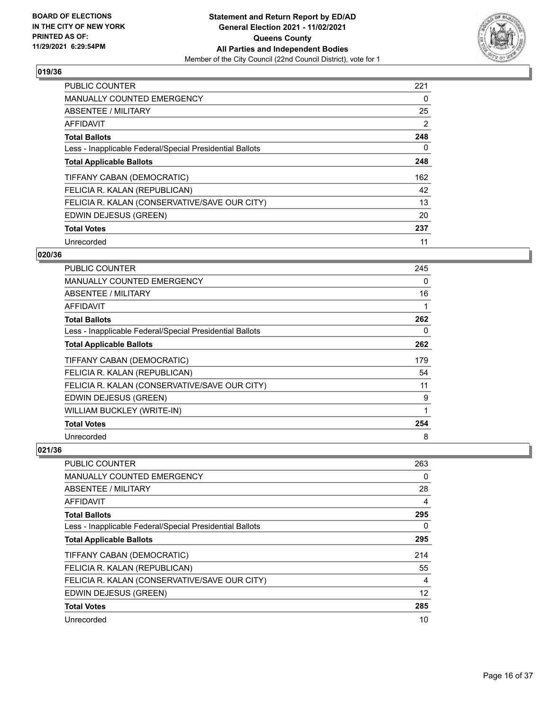

| <b>PUBLIC COUNTER</b>                                    | 221      |
|----------------------------------------------------------|----------|
| <b>MANUALLY COUNTED EMERGENCY</b>                        | 0        |
| ABSENTEE / MILITARY                                      | 25       |
| <b>AFFIDAVIT</b>                                         | 2        |
| <b>Total Ballots</b>                                     | 248      |
| Less - Inapplicable Federal/Special Presidential Ballots | $\Omega$ |
| <b>Total Applicable Ballots</b>                          | 248      |
| TIFFANY CABAN (DEMOCRATIC)                               | 162      |
| FELICIA R. KALAN (REPUBLICAN)                            | 42       |
| FELICIA R. KALAN (CONSERVATIVE/SAVE OUR CITY)            | 13       |
| EDWIN DEJESUS (GREEN)                                    | 20       |
| <b>Total Votes</b>                                       | 237      |
| Unrecorded                                               | 11       |

## **020/36**

| PUBLIC COUNTER                                           | 245 |
|----------------------------------------------------------|-----|
| MANUALLY COUNTED EMERGENCY                               | 0   |
| ABSENTEE / MILITARY                                      | 16  |
| <b>AFFIDAVIT</b>                                         | 1   |
| <b>Total Ballots</b>                                     | 262 |
| Less - Inapplicable Federal/Special Presidential Ballots | 0   |
| <b>Total Applicable Ballots</b>                          | 262 |
| TIFFANY CABAN (DEMOCRATIC)                               | 179 |
| FELICIA R. KALAN (REPUBLICAN)                            | 54  |
| FELICIA R. KALAN (CONSERVATIVE/SAVE OUR CITY)            | 11  |
| EDWIN DEJESUS (GREEN)                                    | 9   |
| WILLIAM BUCKLEY (WRITE-IN)                               | 1   |
| <b>Total Votes</b>                                       | 254 |
| Unrecorded                                               | 8   |

| <b>PUBLIC COUNTER</b>                                    | 263      |
|----------------------------------------------------------|----------|
| <b>MANUALLY COUNTED EMERGENCY</b>                        | 0        |
| ABSENTEE / MILITARY                                      | 28       |
| AFFIDAVIT                                                | 4        |
| <b>Total Ballots</b>                                     | 295      |
| Less - Inapplicable Federal/Special Presidential Ballots | $\Omega$ |
| <b>Total Applicable Ballots</b>                          | 295      |
| TIFFANY CABAN (DEMOCRATIC)                               | 214      |
| FELICIA R. KALAN (REPUBLICAN)                            | 55       |
| FELICIA R. KALAN (CONSERVATIVE/SAVE OUR CITY)            | 4        |
| EDWIN DEJESUS (GREEN)                                    | 12       |
| <b>Total Votes</b>                                       | 285      |
| Unrecorded                                               | 10       |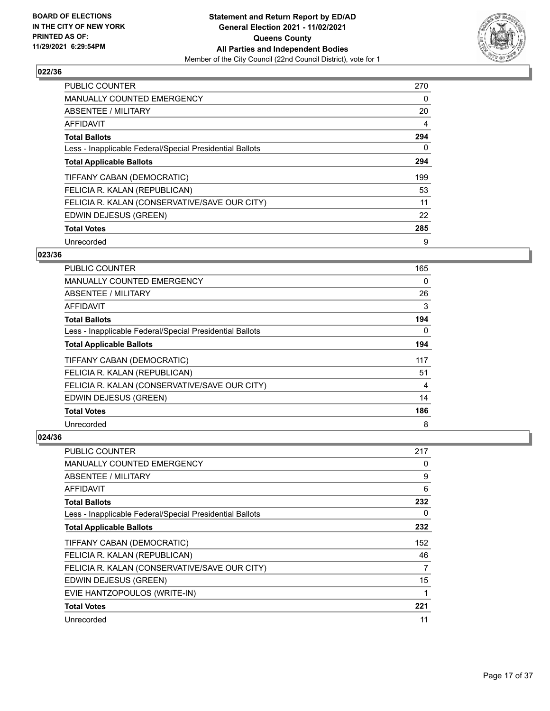

| <b>PUBLIC COUNTER</b>                                    | 270      |
|----------------------------------------------------------|----------|
| <b>MANUALLY COUNTED EMERGENCY</b>                        | 0        |
| ABSENTEE / MILITARY                                      | 20       |
| <b>AFFIDAVIT</b>                                         | 4        |
| <b>Total Ballots</b>                                     | 294      |
| Less - Inapplicable Federal/Special Presidential Ballots | $\Omega$ |
| <b>Total Applicable Ballots</b>                          | 294      |
| TIFFANY CABAN (DEMOCRATIC)                               | 199      |
| FELICIA R. KALAN (REPUBLICAN)                            | 53       |
| FELICIA R. KALAN (CONSERVATIVE/SAVE OUR CITY)            | 11       |
| EDWIN DEJESUS (GREEN)                                    | 22       |
| <b>Total Votes</b>                                       | 285      |
| Unrecorded                                               | 9        |

## **023/36**

| <b>PUBLIC COUNTER</b>                                    | 165      |
|----------------------------------------------------------|----------|
| <b>MANUALLY COUNTED EMERGENCY</b>                        | 0        |
| ABSENTEE / MILITARY                                      | 26       |
| AFFIDAVIT                                                | 3        |
| <b>Total Ballots</b>                                     | 194      |
| Less - Inapplicable Federal/Special Presidential Ballots | $\Omega$ |
| <b>Total Applicable Ballots</b>                          | 194      |
| TIFFANY CABAN (DEMOCRATIC)                               | 117      |
| FELICIA R. KALAN (REPUBLICAN)                            | 51       |
| FELICIA R. KALAN (CONSERVATIVE/SAVE OUR CITY)            | 4        |
| EDWIN DEJESUS (GREEN)                                    | 14       |
| <b>Total Votes</b>                                       | 186      |
| Unrecorded                                               | 8        |

| PUBLIC COUNTER                                           | 217 |
|----------------------------------------------------------|-----|
| <b>MANUALLY COUNTED EMERGENCY</b>                        | 0   |
| ABSENTEE / MILITARY                                      | 9   |
| AFFIDAVIT                                                | 6   |
| <b>Total Ballots</b>                                     | 232 |
| Less - Inapplicable Federal/Special Presidential Ballots | 0   |
| <b>Total Applicable Ballots</b>                          | 232 |
| TIFFANY CABAN (DEMOCRATIC)                               | 152 |
| FELICIA R. KALAN (REPUBLICAN)                            | 46  |
| FELICIA R. KALAN (CONSERVATIVE/SAVE OUR CITY)            | 7   |
| EDWIN DEJESUS (GREEN)                                    | 15  |
| EVIE HANTZOPOULOS (WRITE-IN)                             | 1   |
| <b>Total Votes</b>                                       | 221 |
| Unrecorded                                               | 11  |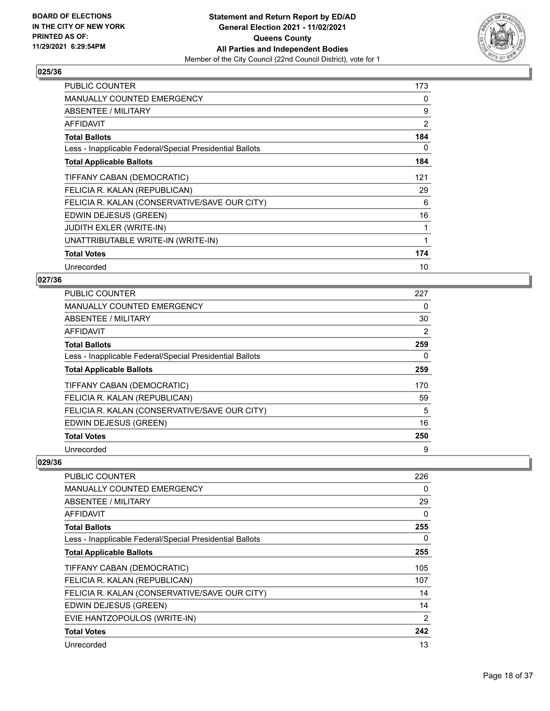

| <b>PUBLIC COUNTER</b>                                    | 173 |
|----------------------------------------------------------|-----|
| <b>MANUALLY COUNTED EMERGENCY</b>                        | 0   |
| <b>ABSENTEE / MILITARY</b>                               | 9   |
| <b>AFFIDAVIT</b>                                         | 2   |
| <b>Total Ballots</b>                                     | 184 |
| Less - Inapplicable Federal/Special Presidential Ballots | 0   |
| <b>Total Applicable Ballots</b>                          | 184 |
| TIFFANY CABAN (DEMOCRATIC)                               | 121 |
| FELICIA R. KALAN (REPUBLICAN)                            | 29  |
| FELICIA R. KALAN (CONSERVATIVE/SAVE OUR CITY)            | 6   |
| EDWIN DEJESUS (GREEN)                                    | 16  |
| <b>JUDITH EXLER (WRITE-IN)</b>                           | 1   |
| UNATTRIBUTABLE WRITE-IN (WRITE-IN)                       | 1   |
| <b>Total Votes</b>                                       | 174 |
| Unrecorded                                               | 10  |

## **027/36**

| <b>PUBLIC COUNTER</b>                                    | 227 |
|----------------------------------------------------------|-----|
| <b>MANUALLY COUNTED EMERGENCY</b>                        | 0   |
| ABSENTEE / MILITARY                                      | 30  |
| <b>AFFIDAVIT</b>                                         | 2   |
| <b>Total Ballots</b>                                     | 259 |
| Less - Inapplicable Federal/Special Presidential Ballots | 0   |
| <b>Total Applicable Ballots</b>                          | 259 |
| TIFFANY CABAN (DEMOCRATIC)                               | 170 |
| FELICIA R. KALAN (REPUBLICAN)                            | 59  |
| FELICIA R. KALAN (CONSERVATIVE/SAVE OUR CITY)            | 5   |
| EDWIN DEJESUS (GREEN)                                    | 16  |
| <b>Total Votes</b>                                       | 250 |
| Unrecorded                                               | 9   |

| <b>PUBLIC COUNTER</b>                                    | 226 |
|----------------------------------------------------------|-----|
| <b>MANUALLY COUNTED EMERGENCY</b>                        | 0   |
| <b>ABSENTEE / MILITARY</b>                               | 29  |
| <b>AFFIDAVIT</b>                                         | 0   |
| <b>Total Ballots</b>                                     | 255 |
| Less - Inapplicable Federal/Special Presidential Ballots | 0   |
| <b>Total Applicable Ballots</b>                          | 255 |
| TIFFANY CABAN (DEMOCRATIC)                               | 105 |
| FELICIA R. KALAN (REPUBLICAN)                            | 107 |
| FELICIA R. KALAN (CONSERVATIVE/SAVE OUR CITY)            | 14  |
| EDWIN DEJESUS (GREEN)                                    | 14  |
| EVIE HANTZOPOULOS (WRITE-IN)                             | 2   |
| <b>Total Votes</b>                                       | 242 |
| Unrecorded                                               | 13  |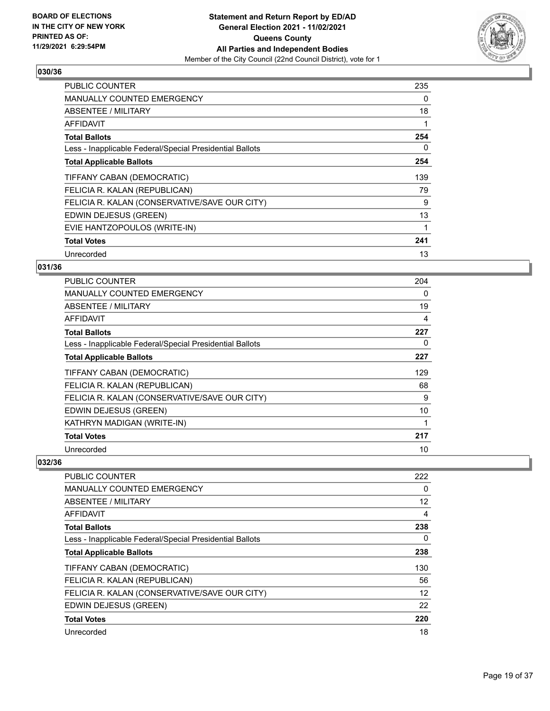

| <b>PUBLIC COUNTER</b>                                    | 235 |
|----------------------------------------------------------|-----|
| <b>MANUALLY COUNTED EMERGENCY</b>                        | 0   |
| ABSENTEE / MILITARY                                      | 18  |
| AFFIDAVIT                                                | 1   |
| <b>Total Ballots</b>                                     | 254 |
| Less - Inapplicable Federal/Special Presidential Ballots | 0   |
| <b>Total Applicable Ballots</b>                          | 254 |
| TIFFANY CABAN (DEMOCRATIC)                               | 139 |
| FELICIA R. KALAN (REPUBLICAN)                            | 79  |
| FELICIA R. KALAN (CONSERVATIVE/SAVE OUR CITY)            | 9   |
| EDWIN DEJESUS (GREEN)                                    | 13  |
| EVIE HANTZOPOULOS (WRITE-IN)                             | 1   |
| <b>Total Votes</b>                                       | 241 |
| Unrecorded                                               | 13  |

## **031/36**

| <b>PUBLIC COUNTER</b>                                    | 204 |
|----------------------------------------------------------|-----|
| <b>MANUALLY COUNTED EMERGENCY</b>                        | 0   |
| ABSENTEE / MILITARY                                      | 19  |
| <b>AFFIDAVIT</b>                                         | 4   |
| <b>Total Ballots</b>                                     | 227 |
| Less - Inapplicable Federal/Special Presidential Ballots | 0   |
| <b>Total Applicable Ballots</b>                          | 227 |
| TIFFANY CABAN (DEMOCRATIC)                               | 129 |
| FELICIA R. KALAN (REPUBLICAN)                            | 68  |
| FELICIA R. KALAN (CONSERVATIVE/SAVE OUR CITY)            | 9   |
| EDWIN DEJESUS (GREEN)                                    | 10  |
| KATHRYN MADIGAN (WRITE-IN)                               | 1   |
| <b>Total Votes</b>                                       | 217 |
| Unrecorded                                               | 10  |

| <b>PUBLIC COUNTER</b>                                    | 222 |
|----------------------------------------------------------|-----|
| <b>MANUALLY COUNTED EMERGENCY</b>                        | 0   |
| ABSENTEE / MILITARY                                      | 12  |
| AFFIDAVIT                                                | 4   |
| <b>Total Ballots</b>                                     | 238 |
| Less - Inapplicable Federal/Special Presidential Ballots | 0   |
| <b>Total Applicable Ballots</b>                          | 238 |
| TIFFANY CABAN (DEMOCRATIC)                               | 130 |
| FELICIA R. KALAN (REPUBLICAN)                            | 56  |
| FELICIA R. KALAN (CONSERVATIVE/SAVE OUR CITY)            | 12  |
| EDWIN DEJESUS (GREEN)                                    | 22  |
| <b>Total Votes</b>                                       | 220 |
| Unrecorded                                               | 18  |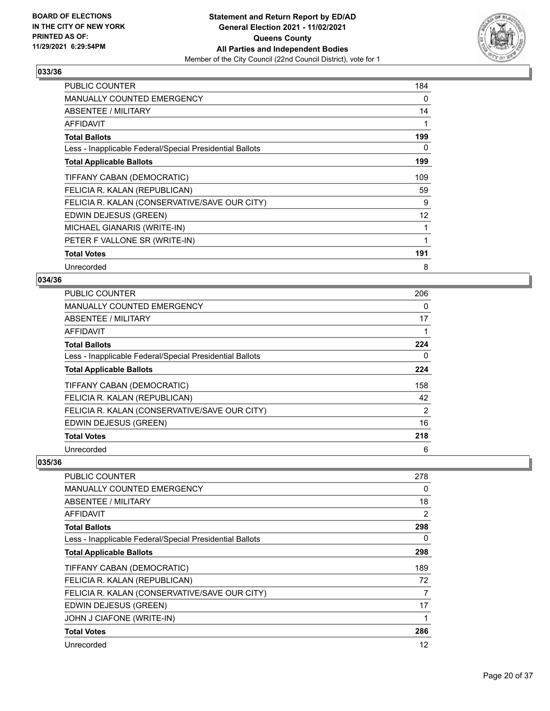

| <b>PUBLIC COUNTER</b>                                    | 184 |
|----------------------------------------------------------|-----|
| <b>MANUALLY COUNTED EMERGENCY</b>                        | 0   |
| <b>ABSENTEE / MILITARY</b>                               | 14  |
| AFFIDAVIT                                                |     |
| <b>Total Ballots</b>                                     | 199 |
| Less - Inapplicable Federal/Special Presidential Ballots | 0   |
| <b>Total Applicable Ballots</b>                          | 199 |
| TIFFANY CABAN (DEMOCRATIC)                               | 109 |
| FELICIA R. KALAN (REPUBLICAN)                            | 59  |
| FELICIA R. KALAN (CONSERVATIVE/SAVE OUR CITY)            | 9   |
| EDWIN DEJESUS (GREEN)                                    | 12  |
| MICHAEL GIANARIS (WRITE-IN)                              | 1   |
| PETER F VALLONE SR (WRITE-IN)                            |     |
| <b>Total Votes</b>                                       | 191 |
| Unrecorded                                               | 8   |

#### **034/36**

| <b>PUBLIC COUNTER</b>                                    | 206            |
|----------------------------------------------------------|----------------|
| MANUALLY COUNTED EMERGENCY                               | 0              |
| ABSENTEE / MILITARY                                      | 17             |
| <b>AFFIDAVIT</b>                                         | 1              |
| <b>Total Ballots</b>                                     | 224            |
| Less - Inapplicable Federal/Special Presidential Ballots | 0              |
| <b>Total Applicable Ballots</b>                          | 224            |
| TIFFANY CABAN (DEMOCRATIC)                               | 158            |
| FELICIA R. KALAN (REPUBLICAN)                            | 42             |
| FELICIA R. KALAN (CONSERVATIVE/SAVE OUR CITY)            | $\overline{2}$ |
| EDWIN DEJESUS (GREEN)                                    | 16             |
| <b>Total Votes</b>                                       | 218            |
| Unrecorded                                               | 6              |

| PUBLIC COUNTER                                           | 278 |
|----------------------------------------------------------|-----|
| <b>MANUALLY COUNTED EMERGENCY</b>                        | 0   |
| <b>ABSENTEE / MILITARY</b>                               | 18  |
| AFFIDAVIT                                                | 2   |
| <b>Total Ballots</b>                                     | 298 |
| Less - Inapplicable Federal/Special Presidential Ballots | 0   |
| <b>Total Applicable Ballots</b>                          | 298 |
| TIFFANY CABAN (DEMOCRATIC)                               | 189 |
| FELICIA R. KALAN (REPUBLICAN)                            | 72  |
| FELICIA R. KALAN (CONSERVATIVE/SAVE OUR CITY)            | 7   |
| EDWIN DEJESUS (GREEN)                                    | 17  |
| JOHN J CIAFONE (WRITE-IN)                                |     |
| <b>Total Votes</b>                                       | 286 |
| Unrecorded                                               | 12  |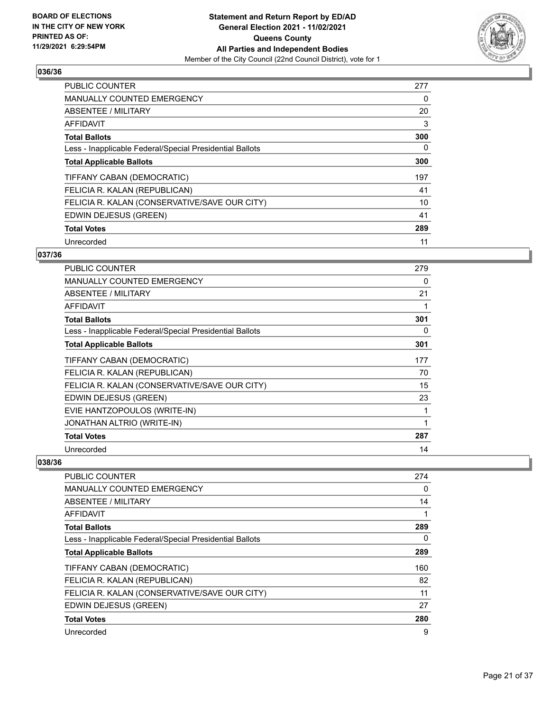

| <b>PUBLIC COUNTER</b>                                    | 277      |
|----------------------------------------------------------|----------|
| <b>MANUALLY COUNTED EMERGENCY</b>                        | 0        |
| ABSENTEE / MILITARY                                      | 20       |
| <b>AFFIDAVIT</b>                                         | 3        |
| <b>Total Ballots</b>                                     | 300      |
| Less - Inapplicable Federal/Special Presidential Ballots | $\Omega$ |
| <b>Total Applicable Ballots</b>                          | 300      |
| TIFFANY CABAN (DEMOCRATIC)                               | 197      |
| FELICIA R. KALAN (REPUBLICAN)                            | 41       |
| FELICIA R. KALAN (CONSERVATIVE/SAVE OUR CITY)            | 10       |
| EDWIN DEJESUS (GREEN)                                    | 41       |
| <b>Total Votes</b>                                       | 289      |
| Unrecorded                                               | 11       |

## **037/36**

| PUBLIC COUNTER                                           | 279 |
|----------------------------------------------------------|-----|
| <b>MANUALLY COUNTED EMERGENCY</b>                        | 0   |
| <b>ABSENTEE / MILITARY</b>                               | 21  |
| AFFIDAVIT                                                |     |
| <b>Total Ballots</b>                                     | 301 |
| Less - Inapplicable Federal/Special Presidential Ballots | 0   |
| <b>Total Applicable Ballots</b>                          | 301 |
| TIFFANY CABAN (DEMOCRATIC)                               | 177 |
| FELICIA R. KALAN (REPUBLICAN)                            | 70  |
| FELICIA R. KALAN (CONSERVATIVE/SAVE OUR CITY)            | 15  |
| EDWIN DEJESUS (GREEN)                                    | 23  |
| EVIE HANTZOPOULOS (WRITE-IN)                             | 1   |
| JONATHAN ALTRIO (WRITE-IN)                               | 1   |
| <b>Total Votes</b>                                       | 287 |
| Unrecorded                                               | 14  |

| <b>PUBLIC COUNTER</b>                                    | 274 |
|----------------------------------------------------------|-----|
| <b>MANUALLY COUNTED EMERGENCY</b>                        | 0   |
| ABSENTEE / MILITARY                                      | 14  |
| AFFIDAVIT                                                |     |
| <b>Total Ballots</b>                                     | 289 |
| Less - Inapplicable Federal/Special Presidential Ballots | 0   |
| <b>Total Applicable Ballots</b>                          | 289 |
| TIFFANY CABAN (DEMOCRATIC)                               | 160 |
| FELICIA R. KALAN (REPUBLICAN)                            | 82  |
| FELICIA R. KALAN (CONSERVATIVE/SAVE OUR CITY)            | 11  |
| EDWIN DEJESUS (GREEN)                                    | 27  |
| <b>Total Votes</b>                                       | 280 |
| Unrecorded                                               | 9   |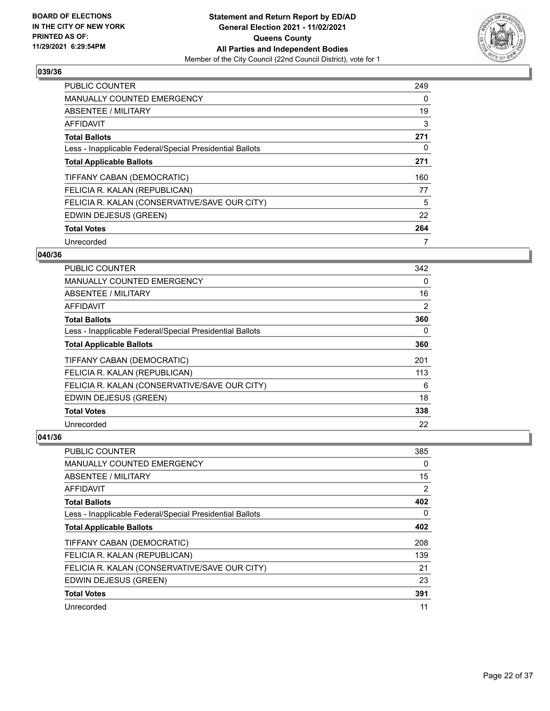

| <b>PUBLIC COUNTER</b>                                    | 249 |
|----------------------------------------------------------|-----|
| <b>MANUALLY COUNTED EMERGENCY</b>                        | 0   |
| ABSENTEE / MILITARY                                      | 19  |
| <b>AFFIDAVIT</b>                                         | 3   |
| <b>Total Ballots</b>                                     | 271 |
| Less - Inapplicable Federal/Special Presidential Ballots | 0   |
| <b>Total Applicable Ballots</b>                          | 271 |
| TIFFANY CABAN (DEMOCRATIC)                               | 160 |
| FELICIA R. KALAN (REPUBLICAN)                            | 77  |
| FELICIA R. KALAN (CONSERVATIVE/SAVE OUR CITY)            | 5   |
| EDWIN DEJESUS (GREEN)                                    | 22  |
| <b>Total Votes</b>                                       | 264 |
| Unrecorded                                               | 7   |

## **040/36**

| <b>PUBLIC COUNTER</b>                                    | 342      |
|----------------------------------------------------------|----------|
| <b>MANUALLY COUNTED EMERGENCY</b>                        | $\Omega$ |
| ABSENTEE / MILITARY                                      | 16       |
| AFFIDAVIT                                                | 2        |
| <b>Total Ballots</b>                                     | 360      |
| Less - Inapplicable Federal/Special Presidential Ballots | 0        |
| <b>Total Applicable Ballots</b>                          | 360      |
| TIFFANY CABAN (DEMOCRATIC)                               | 201      |
| FELICIA R. KALAN (REPUBLICAN)                            | 113      |
| FELICIA R. KALAN (CONSERVATIVE/SAVE OUR CITY)            | 6        |
| EDWIN DEJESUS (GREEN)                                    | 18       |
| <b>Total Votes</b>                                       | 338      |
| Unrecorded                                               | 22       |

| PUBLIC COUNTER                                           | 385      |
|----------------------------------------------------------|----------|
| <b>MANUALLY COUNTED EMERGENCY</b>                        | $\Omega$ |
| ABSENTEE / MILITARY                                      | 15       |
| AFFIDAVIT                                                | 2        |
| <b>Total Ballots</b>                                     | 402      |
| Less - Inapplicable Federal/Special Presidential Ballots | 0        |
| <b>Total Applicable Ballots</b>                          | 402      |
| TIFFANY CABAN (DEMOCRATIC)                               | 208      |
| FELICIA R. KALAN (REPUBLICAN)                            | 139      |
| FELICIA R. KALAN (CONSERVATIVE/SAVE OUR CITY)            | 21       |
| EDWIN DEJESUS (GREEN)                                    | 23       |
| <b>Total Votes</b>                                       | 391      |
| Unrecorded                                               | 11       |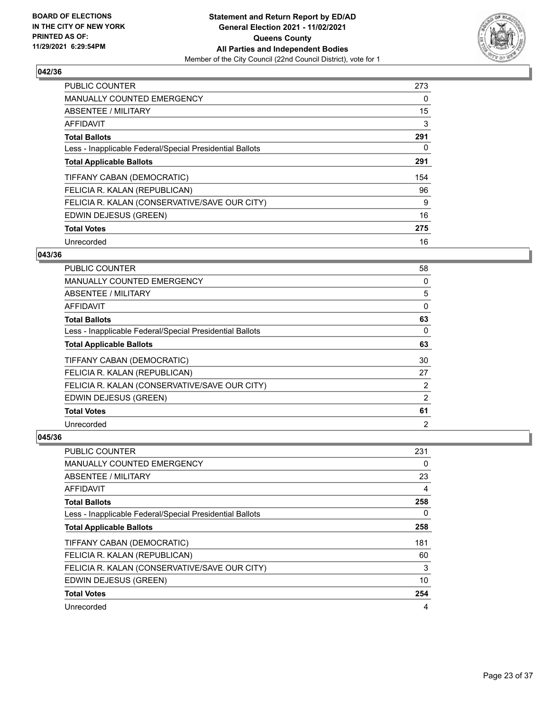

| <b>PUBLIC COUNTER</b>                                    | 273 |
|----------------------------------------------------------|-----|
| <b>MANUALLY COUNTED EMERGENCY</b>                        | 0   |
| ABSENTEE / MILITARY                                      | 15  |
| <b>AFFIDAVIT</b>                                         | 3   |
| <b>Total Ballots</b>                                     | 291 |
| Less - Inapplicable Federal/Special Presidential Ballots | 0   |
| <b>Total Applicable Ballots</b>                          | 291 |
| TIFFANY CABAN (DEMOCRATIC)                               | 154 |
| FELICIA R. KALAN (REPUBLICAN)                            | 96  |
| FELICIA R. KALAN (CONSERVATIVE/SAVE OUR CITY)            | 9   |
| EDWIN DEJESUS (GREEN)                                    | 16  |
| <b>Total Votes</b>                                       | 275 |
| Unrecorded                                               | 16  |

## **043/36**

| <b>PUBLIC COUNTER</b>                                    | 58             |
|----------------------------------------------------------|----------------|
| MANUALLY COUNTED EMERGENCY                               | 0              |
| ABSENTEE / MILITARY                                      | 5              |
| AFFIDAVIT                                                | 0              |
| <b>Total Ballots</b>                                     | 63             |
| Less - Inapplicable Federal/Special Presidential Ballots | $\Omega$       |
| <b>Total Applicable Ballots</b>                          | 63             |
| TIFFANY CABAN (DEMOCRATIC)                               | 30             |
| FELICIA R. KALAN (REPUBLICAN)                            | 27             |
| FELICIA R. KALAN (CONSERVATIVE/SAVE OUR CITY)            | 2              |
| EDWIN DEJESUS (GREEN)                                    | 2              |
| <b>Total Votes</b>                                       | 61             |
| Unrecorded                                               | $\overline{2}$ |

| PUBLIC COUNTER                                           | 231      |
|----------------------------------------------------------|----------|
| MANUALLY COUNTED EMERGENCY                               | $\Omega$ |
| ABSENTEE / MILITARY                                      | 23       |
| AFFIDAVIT                                                | 4        |
| <b>Total Ballots</b>                                     | 258      |
| Less - Inapplicable Federal/Special Presidential Ballots | $\Omega$ |
| <b>Total Applicable Ballots</b>                          | 258      |
| TIFFANY CABAN (DEMOCRATIC)                               | 181      |
| FELICIA R. KALAN (REPUBLICAN)                            | 60       |
| FELICIA R. KALAN (CONSERVATIVE/SAVE OUR CITY)            | 3        |
| EDWIN DEJESUS (GREEN)                                    | 10       |
| <b>Total Votes</b>                                       | 254      |
| Unrecorded                                               | 4        |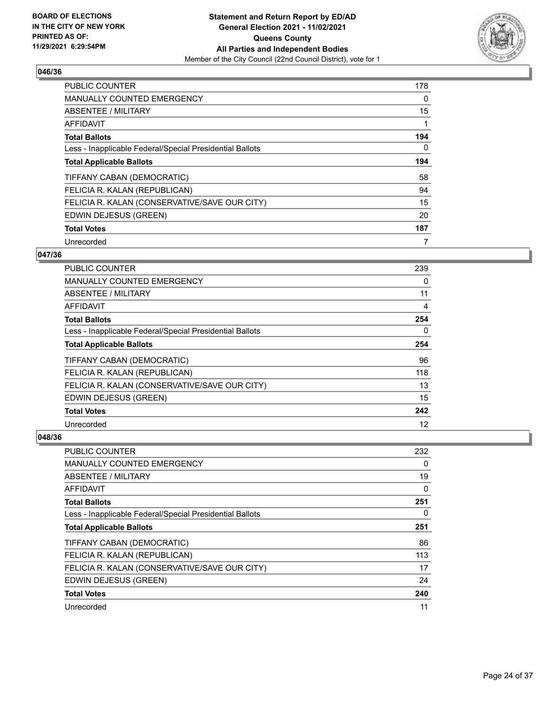

| <b>PUBLIC COUNTER</b>                                    | 178      |
|----------------------------------------------------------|----------|
| <b>MANUALLY COUNTED EMERGENCY</b>                        | 0        |
| ABSENTEE / MILITARY                                      | 15       |
| <b>AFFIDAVIT</b>                                         |          |
| <b>Total Ballots</b>                                     | 194      |
| Less - Inapplicable Federal/Special Presidential Ballots | $\Omega$ |
| <b>Total Applicable Ballots</b>                          | 194      |
| TIFFANY CABAN (DEMOCRATIC)                               | 58       |
| FELICIA R. KALAN (REPUBLICAN)                            | 94       |
| FELICIA R. KALAN (CONSERVATIVE/SAVE OUR CITY)            | 15       |
| EDWIN DEJESUS (GREEN)                                    | 20       |
| <b>Total Votes</b>                                       | 187      |
| Unrecorded                                               | 7        |

## **047/36**

| <b>PUBLIC COUNTER</b>                                    | 239 |
|----------------------------------------------------------|-----|
| <b>MANUALLY COUNTED EMERGENCY</b>                        | 0   |
| ABSENTEE / MILITARY                                      | 11  |
| AFFIDAVIT                                                | 4   |
| <b>Total Ballots</b>                                     | 254 |
| Less - Inapplicable Federal/Special Presidential Ballots | 0   |
| <b>Total Applicable Ballots</b>                          | 254 |
| TIFFANY CABAN (DEMOCRATIC)                               | 96  |
| FELICIA R. KALAN (REPUBLICAN)                            | 118 |
| FELICIA R. KALAN (CONSERVATIVE/SAVE OUR CITY)            | 13  |
| EDWIN DEJESUS (GREEN)                                    | 15  |
| <b>Total Votes</b>                                       | 242 |
| Unrecorded                                               | 12  |

| PUBLIC COUNTER                                           | 232      |
|----------------------------------------------------------|----------|
| <b>MANUALLY COUNTED EMERGENCY</b>                        | 0        |
| ABSENTEE / MILITARY                                      | 19       |
| AFFIDAVIT                                                | 0        |
| <b>Total Ballots</b>                                     | 251      |
| Less - Inapplicable Federal/Special Presidential Ballots | $\Omega$ |
| <b>Total Applicable Ballots</b>                          | 251      |
| TIFFANY CABAN (DEMOCRATIC)                               | 86       |
| FELICIA R. KALAN (REPUBLICAN)                            | 113      |
| FELICIA R. KALAN (CONSERVATIVE/SAVE OUR CITY)            | 17       |
| EDWIN DEJESUS (GREEN)                                    | 24       |
| <b>Total Votes</b>                                       | 240      |
| Unrecorded                                               | 11       |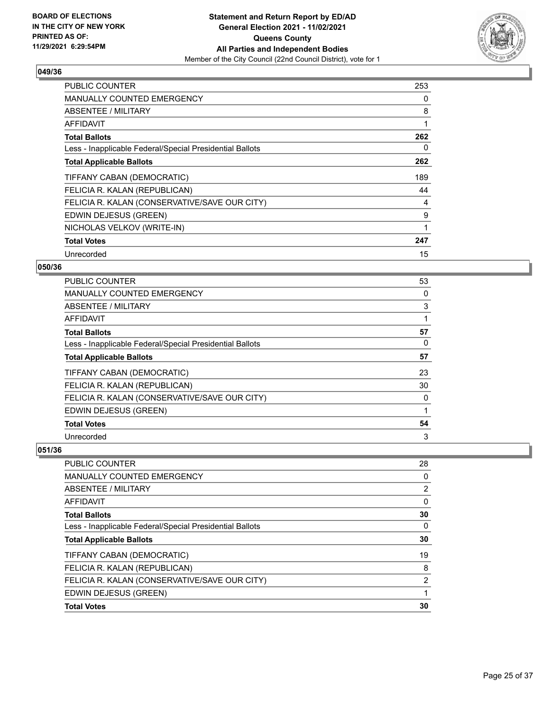

| <b>PUBLIC COUNTER</b>                                    | 253 |
|----------------------------------------------------------|-----|
| <b>MANUALLY COUNTED EMERGENCY</b>                        | 0   |
| ABSENTEE / MILITARY                                      | 8   |
| AFFIDAVIT                                                | 1   |
| <b>Total Ballots</b>                                     | 262 |
| Less - Inapplicable Federal/Special Presidential Ballots | 0   |
| <b>Total Applicable Ballots</b>                          | 262 |
| TIFFANY CABAN (DEMOCRATIC)                               | 189 |
| FELICIA R. KALAN (REPUBLICAN)                            | 44  |
| FELICIA R. KALAN (CONSERVATIVE/SAVE OUR CITY)            | 4   |
| EDWIN DEJESUS (GREEN)                                    | 9   |
| NICHOLAS VELKOV (WRITE-IN)                               | 1   |
| <b>Total Votes</b>                                       | 247 |
| Unrecorded                                               | 15  |

## **050/36**

| PUBLIC COUNTER                                           | 53 |
|----------------------------------------------------------|----|
| MANUALLY COUNTED EMERGENCY                               | 0  |
| <b>ABSENTEE / MILITARY</b>                               | 3  |
| AFFIDAVIT                                                |    |
| <b>Total Ballots</b>                                     | 57 |
| Less - Inapplicable Federal/Special Presidential Ballots | 0  |
| <b>Total Applicable Ballots</b>                          | 57 |
| TIFFANY CABAN (DEMOCRATIC)                               | 23 |
| FELICIA R. KALAN (REPUBLICAN)                            | 30 |
| FELICIA R. KALAN (CONSERVATIVE/SAVE OUR CITY)            | 0  |
| EDWIN DEJESUS (GREEN)                                    | 1  |
| <b>Total Votes</b>                                       | 54 |
| Unrecorded                                               | 3  |

| <b>PUBLIC COUNTER</b>                                    | 28             |
|----------------------------------------------------------|----------------|
| <b>MANUALLY COUNTED EMERGENCY</b>                        | 0              |
| ABSENTEE / MILITARY                                      | 2              |
| AFFIDAVIT                                                | 0              |
| <b>Total Ballots</b>                                     | 30             |
| Less - Inapplicable Federal/Special Presidential Ballots | 0              |
| <b>Total Applicable Ballots</b>                          | 30             |
| TIFFANY CABAN (DEMOCRATIC)                               | 19             |
| FELICIA R. KALAN (REPUBLICAN)                            | 8              |
| FELICIA R. KALAN (CONSERVATIVE/SAVE OUR CITY)            | $\overline{2}$ |
| EDWIN DEJESUS (GREEN)                                    |                |
| <b>Total Votes</b>                                       | 30             |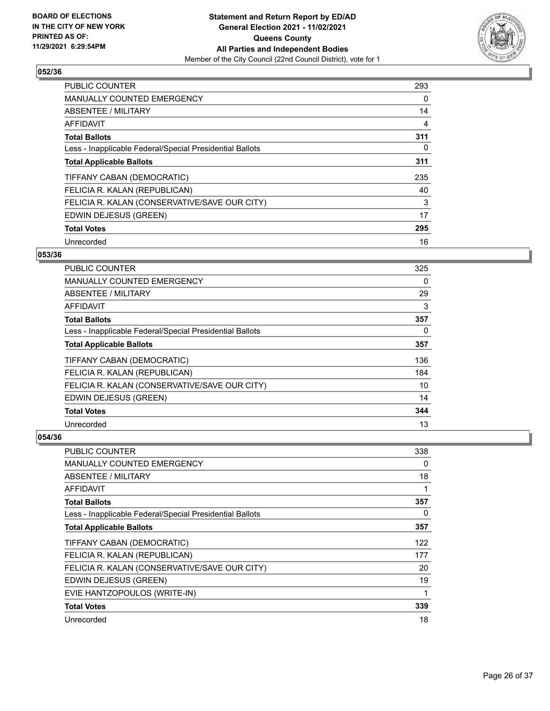

| PUBLIC COUNTER                                           | 293      |
|----------------------------------------------------------|----------|
| <b>MANUALLY COUNTED EMERGENCY</b>                        | $\Omega$ |
| ABSENTEE / MILITARY                                      | 14       |
| AFFIDAVIT                                                | 4        |
| <b>Total Ballots</b>                                     | 311      |
| Less - Inapplicable Federal/Special Presidential Ballots | $\Omega$ |
| <b>Total Applicable Ballots</b>                          | 311      |
| TIFFANY CABAN (DEMOCRATIC)                               | 235      |
| FELICIA R. KALAN (REPUBLICAN)                            | 40       |
| FELICIA R. KALAN (CONSERVATIVE/SAVE OUR CITY)            | 3        |
| EDWIN DEJESUS (GREEN)                                    | 17       |
| <b>Total Votes</b>                                       | 295      |
| Unrecorded                                               | 16       |

## **053/36**

| PUBLIC COUNTER                                           | 325 |
|----------------------------------------------------------|-----|
| MANUALLY COUNTED EMERGENCY                               | 0   |
| ABSENTEE / MILITARY                                      | 29  |
| AFFIDAVIT                                                | 3   |
| <b>Total Ballots</b>                                     | 357 |
| Less - Inapplicable Federal/Special Presidential Ballots | 0   |
| <b>Total Applicable Ballots</b>                          | 357 |
| TIFFANY CABAN (DEMOCRATIC)                               | 136 |
| FELICIA R. KALAN (REPUBLICAN)                            | 184 |
| FELICIA R. KALAN (CONSERVATIVE/SAVE OUR CITY)            | 10  |
| EDWIN DEJESUS (GREEN)                                    | 14  |
| <b>Total Votes</b>                                       | 344 |
| Unrecorded                                               | 13  |

| PUBLIC COUNTER                                           | 338      |
|----------------------------------------------------------|----------|
| <b>MANUALLY COUNTED EMERGENCY</b>                        | 0        |
| ABSENTEE / MILITARY                                      | 18       |
| AFFIDAVIT                                                | 1        |
| <b>Total Ballots</b>                                     | 357      |
| Less - Inapplicable Federal/Special Presidential Ballots | $\Omega$ |
| <b>Total Applicable Ballots</b>                          | 357      |
| TIFFANY CABAN (DEMOCRATIC)                               | 122      |
| FELICIA R. KALAN (REPUBLICAN)                            | 177      |
| FELICIA R. KALAN (CONSERVATIVE/SAVE OUR CITY)            | 20       |
| EDWIN DEJESUS (GREEN)                                    | 19       |
| EVIE HANTZOPOULOS (WRITE-IN)                             | 1        |
| <b>Total Votes</b>                                       | 339      |
| Unrecorded                                               | 18       |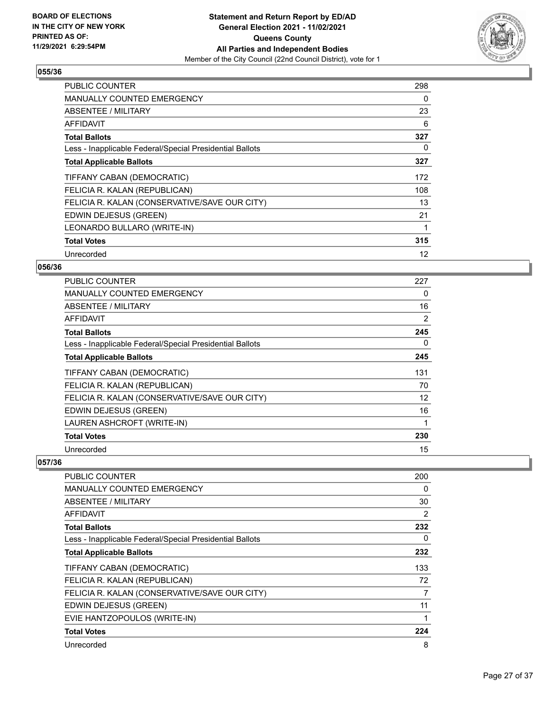

| <b>PUBLIC COUNTER</b>                                    | 298 |
|----------------------------------------------------------|-----|
| <b>MANUALLY COUNTED EMERGENCY</b>                        | 0   |
| ABSENTEE / MILITARY                                      | 23  |
| AFFIDAVIT                                                | 6   |
| <b>Total Ballots</b>                                     | 327 |
| Less - Inapplicable Federal/Special Presidential Ballots | 0   |
| <b>Total Applicable Ballots</b>                          | 327 |
| TIFFANY CABAN (DEMOCRATIC)                               | 172 |
| FELICIA R. KALAN (REPUBLICAN)                            | 108 |
| FELICIA R. KALAN (CONSERVATIVE/SAVE OUR CITY)            | 13  |
| EDWIN DEJESUS (GREEN)                                    | 21  |
| LEONARDO BULLARO (WRITE-IN)                              | 1   |
| <b>Total Votes</b>                                       | 315 |
| Unrecorded                                               | 12  |

## **056/36**

| PUBLIC COUNTER                                           | 227 |
|----------------------------------------------------------|-----|
| <b>MANUALLY COUNTED EMERGENCY</b>                        | 0   |
| ABSENTEE / MILITARY                                      | 16  |
| AFFIDAVIT                                                | 2   |
| <b>Total Ballots</b>                                     | 245 |
| Less - Inapplicable Federal/Special Presidential Ballots | 0   |
| <b>Total Applicable Ballots</b>                          | 245 |
| TIFFANY CABAN (DEMOCRATIC)                               | 131 |
| FELICIA R. KALAN (REPUBLICAN)                            | 70  |
| FELICIA R. KALAN (CONSERVATIVE/SAVE OUR CITY)            | 12  |
| EDWIN DEJESUS (GREEN)                                    | 16  |
| LAUREN ASHCROFT (WRITE-IN)                               | 1   |
| <b>Total Votes</b>                                       | 230 |
| Unrecorded                                               | 15  |

| PUBLIC COUNTER                                           | 200 |
|----------------------------------------------------------|-----|
| <b>MANUALLY COUNTED EMERGENCY</b>                        | 0   |
| <b>ABSENTEE / MILITARY</b>                               | 30  |
| AFFIDAVIT                                                | 2   |
| <b>Total Ballots</b>                                     | 232 |
| Less - Inapplicable Federal/Special Presidential Ballots | 0   |
| <b>Total Applicable Ballots</b>                          | 232 |
| TIFFANY CABAN (DEMOCRATIC)                               | 133 |
| FELICIA R. KALAN (REPUBLICAN)                            | 72  |
| FELICIA R. KALAN (CONSERVATIVE/SAVE OUR CITY)            | 7   |
| EDWIN DEJESUS (GREEN)                                    | 11  |
| EVIE HANTZOPOULOS (WRITE-IN)                             |     |
| <b>Total Votes</b>                                       | 224 |
| Unrecorded                                               | 8   |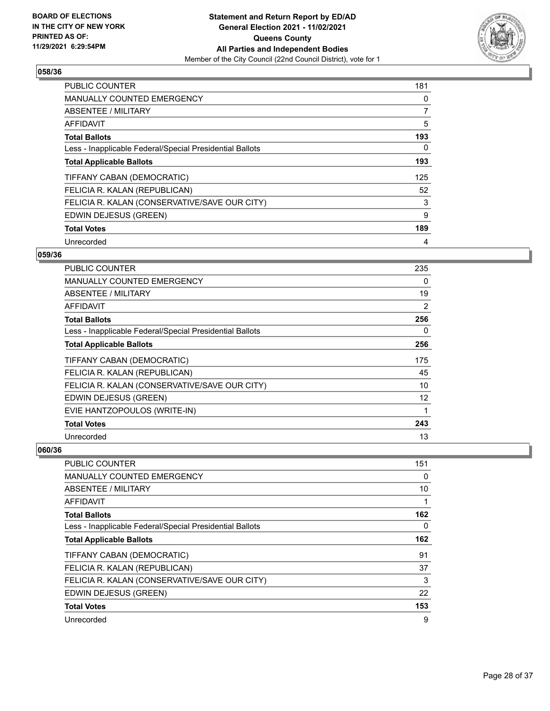

| PUBLIC COUNTER                                           | 181 |
|----------------------------------------------------------|-----|
| <b>MANUALLY COUNTED EMERGENCY</b>                        | 0   |
| ABSENTEE / MILITARY                                      | 7   |
| <b>AFFIDAVIT</b>                                         | 5   |
| <b>Total Ballots</b>                                     | 193 |
| Less - Inapplicable Federal/Special Presidential Ballots | 0   |
| <b>Total Applicable Ballots</b>                          | 193 |
| TIFFANY CABAN (DEMOCRATIC)                               | 125 |
| FELICIA R. KALAN (REPUBLICAN)                            | 52  |
| FELICIA R. KALAN (CONSERVATIVE/SAVE OUR CITY)            | 3   |
| EDWIN DEJESUS (GREEN)                                    | 9   |
| <b>Total Votes</b>                                       | 189 |
| Unrecorded                                               | 4   |

## **059/36**

| PUBLIC COUNTER                                           | 235               |
|----------------------------------------------------------|-------------------|
| <b>MANUALLY COUNTED EMERGENCY</b>                        | 0                 |
| ABSENTEE / MILITARY                                      | 19                |
| <b>AFFIDAVIT</b>                                         | $\overline{2}$    |
| <b>Total Ballots</b>                                     | 256               |
| Less - Inapplicable Federal/Special Presidential Ballots | 0                 |
| <b>Total Applicable Ballots</b>                          | 256               |
| TIFFANY CABAN (DEMOCRATIC)                               | 175               |
| FELICIA R. KALAN (REPUBLICAN)                            | 45                |
| FELICIA R. KALAN (CONSERVATIVE/SAVE OUR CITY)            | 10                |
| EDWIN DEJESUS (GREEN)                                    | $12 \overline{ }$ |
| EVIE HANTZOPOULOS (WRITE-IN)                             | 1                 |
| <b>Total Votes</b>                                       | 243               |
| Unrecorded                                               | 13                |

| <b>PUBLIC COUNTER</b>                                    | 151      |
|----------------------------------------------------------|----------|
| <b>MANUALLY COUNTED EMERGENCY</b>                        | $\Omega$ |
| ABSENTEE / MILITARY                                      | 10       |
| AFFIDAVIT                                                |          |
| <b>Total Ballots</b>                                     | 162      |
| Less - Inapplicable Federal/Special Presidential Ballots | 0        |
| <b>Total Applicable Ballots</b>                          | 162      |
| TIFFANY CABAN (DEMOCRATIC)                               | 91       |
| FELICIA R. KALAN (REPUBLICAN)                            | 37       |
| FELICIA R. KALAN (CONSERVATIVE/SAVE OUR CITY)            | 3        |
| EDWIN DEJESUS (GREEN)                                    | 22       |
| <b>Total Votes</b>                                       | 153      |
| Unrecorded                                               | 9        |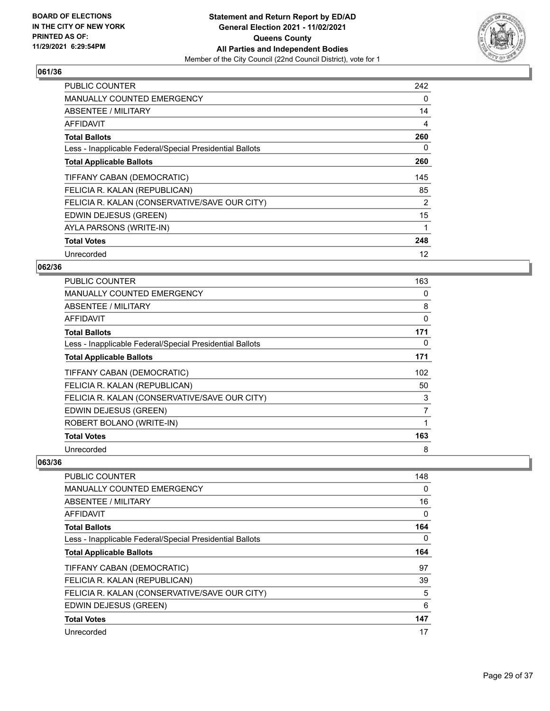

| <b>PUBLIC COUNTER</b>                                    | 242 |
|----------------------------------------------------------|-----|
| <b>MANUALLY COUNTED EMERGENCY</b>                        | 0   |
| <b>ABSENTEE / MILITARY</b>                               | 14  |
| AFFIDAVIT                                                | 4   |
| <b>Total Ballots</b>                                     | 260 |
| Less - Inapplicable Federal/Special Presidential Ballots | 0   |
| <b>Total Applicable Ballots</b>                          | 260 |
| TIFFANY CABAN (DEMOCRATIC)                               | 145 |
| FELICIA R. KALAN (REPUBLICAN)                            | 85  |
| FELICIA R. KALAN (CONSERVATIVE/SAVE OUR CITY)            | 2   |
| EDWIN DEJESUS (GREEN)                                    | 15  |
| AYLA PARSONS (WRITE-IN)                                  | 1   |
| <b>Total Votes</b>                                       | 248 |
| Unrecorded                                               | 12  |

## **062/36**

| <b>PUBLIC COUNTER</b>                                    | 163 |
|----------------------------------------------------------|-----|
| MANUALLY COUNTED EMERGENCY                               | 0   |
| ABSENTEE / MILITARY                                      | 8   |
| AFFIDAVIT                                                | 0   |
| <b>Total Ballots</b>                                     | 171 |
| Less - Inapplicable Federal/Special Presidential Ballots | 0   |
| <b>Total Applicable Ballots</b>                          | 171 |
| TIFFANY CABAN (DEMOCRATIC)                               | 102 |
| FELICIA R. KALAN (REPUBLICAN)                            | 50  |
| FELICIA R. KALAN (CONSERVATIVE/SAVE OUR CITY)            | 3   |
| EDWIN DEJESUS (GREEN)                                    | 7   |
| ROBERT BOLANO (WRITE-IN)                                 | 1   |
| <b>Total Votes</b>                                       | 163 |
| Unrecorded                                               | 8   |

| PUBLIC COUNTER                                           | 148 |
|----------------------------------------------------------|-----|
| <b>MANUALLY COUNTED EMERGENCY</b>                        | 0   |
| ABSENTEE / MILITARY                                      | 16  |
| AFFIDAVIT                                                | 0   |
| <b>Total Ballots</b>                                     | 164 |
| Less - Inapplicable Federal/Special Presidential Ballots | 0   |
| <b>Total Applicable Ballots</b>                          | 164 |
| TIFFANY CABAN (DEMOCRATIC)                               | 97  |
| FELICIA R. KALAN (REPUBLICAN)                            | 39  |
| FELICIA R. KALAN (CONSERVATIVE/SAVE OUR CITY)            | 5   |
| EDWIN DEJESUS (GREEN)                                    | 6   |
| <b>Total Votes</b>                                       | 147 |
| Unrecorded                                               | 17  |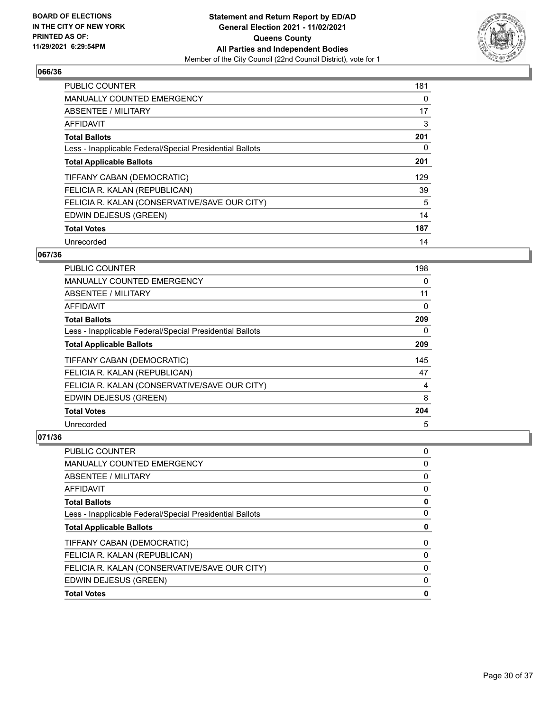

| PUBLIC COUNTER                                           | 181 |
|----------------------------------------------------------|-----|
| <b>MANUALLY COUNTED EMERGENCY</b>                        | 0   |
| ABSENTEE / MILITARY                                      | 17  |
| <b>AFFIDAVIT</b>                                         | 3   |
| <b>Total Ballots</b>                                     | 201 |
| Less - Inapplicable Federal/Special Presidential Ballots | 0   |
| <b>Total Applicable Ballots</b>                          | 201 |
| TIFFANY CABAN (DEMOCRATIC)                               | 129 |
| FELICIA R. KALAN (REPUBLICAN)                            | 39  |
| FELICIA R. KALAN (CONSERVATIVE/SAVE OUR CITY)            | 5   |
| EDWIN DEJESUS (GREEN)                                    | 14  |
| <b>Total Votes</b>                                       | 187 |
| Unrecorded                                               | 14  |

## **067/36**

| <b>PUBLIC COUNTER</b>                                    | 198      |
|----------------------------------------------------------|----------|
| MANUALLY COUNTED EMERGENCY                               | 0        |
| ABSENTEE / MILITARY                                      | 11       |
| AFFIDAVIT                                                | 0        |
| <b>Total Ballots</b>                                     | 209      |
| Less - Inapplicable Federal/Special Presidential Ballots | $\Omega$ |
| <b>Total Applicable Ballots</b>                          | 209      |
| TIFFANY CABAN (DEMOCRATIC)                               | 145      |
| FELICIA R. KALAN (REPUBLICAN)                            | 47       |
| FELICIA R. KALAN (CONSERVATIVE/SAVE OUR CITY)            | 4        |
| EDWIN DEJESUS (GREEN)                                    | 8        |
| <b>Total Votes</b>                                       | 204      |
| Unrecorded                                               | 5        |

| PUBLIC COUNTER                                           | 0 |
|----------------------------------------------------------|---|
| <b>MANUALLY COUNTED EMERGENCY</b>                        | 0 |
| ABSENTEE / MILITARY                                      | 0 |
| AFFIDAVIT                                                | 0 |
| <b>Total Ballots</b>                                     | 0 |
| Less - Inapplicable Federal/Special Presidential Ballots | 0 |
| <b>Total Applicable Ballots</b>                          | 0 |
| TIFFANY CABAN (DEMOCRATIC)                               | 0 |
| FELICIA R. KALAN (REPUBLICAN)                            | 0 |
| FELICIA R. KALAN (CONSERVATIVE/SAVE OUR CITY)            | 0 |
| EDWIN DEJESUS (GREEN)                                    | 0 |
| <b>Total Votes</b>                                       | 0 |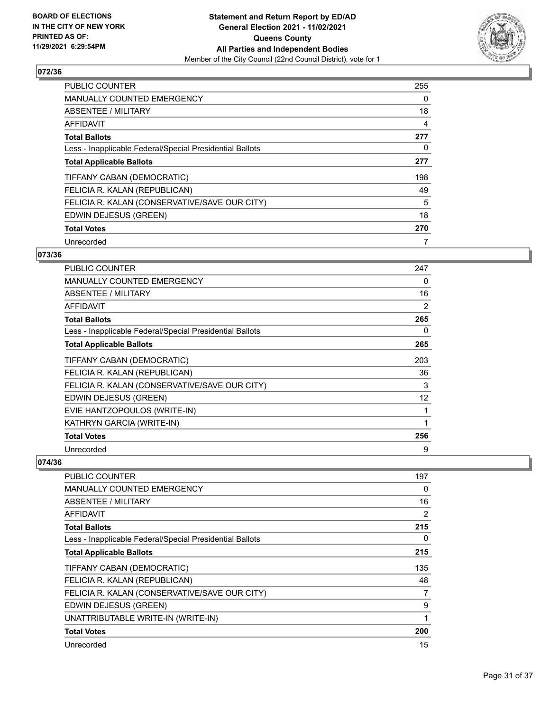

| <b>PUBLIC COUNTER</b>                                    | 255 |
|----------------------------------------------------------|-----|
| <b>MANUALLY COUNTED EMERGENCY</b>                        | 0   |
| ABSENTEE / MILITARY                                      | 18  |
| AFFIDAVIT                                                | 4   |
| <b>Total Ballots</b>                                     | 277 |
| Less - Inapplicable Federal/Special Presidential Ballots | 0   |
| <b>Total Applicable Ballots</b>                          | 277 |
| TIFFANY CABAN (DEMOCRATIC)                               | 198 |
| FELICIA R. KALAN (REPUBLICAN)                            | 49  |
| FELICIA R. KALAN (CONSERVATIVE/SAVE OUR CITY)            | 5   |
| EDWIN DEJESUS (GREEN)                                    | 18  |
| <b>Total Votes</b>                                       | 270 |
| Unrecorded                                               | 7   |

# **073/36**

| <b>PUBLIC COUNTER</b>                                    | 247 |
|----------------------------------------------------------|-----|
| <b>MANUALLY COUNTED EMERGENCY</b>                        | 0   |
| <b>ABSENTEE / MILITARY</b>                               | 16  |
| <b>AFFIDAVIT</b>                                         | 2   |
| <b>Total Ballots</b>                                     | 265 |
| Less - Inapplicable Federal/Special Presidential Ballots | 0   |
| <b>Total Applicable Ballots</b>                          | 265 |
| TIFFANY CABAN (DEMOCRATIC)                               | 203 |
| FELICIA R. KALAN (REPUBLICAN)                            | 36  |
| FELICIA R. KALAN (CONSERVATIVE/SAVE OUR CITY)            | 3   |
| EDWIN DEJESUS (GREEN)                                    | 12  |
| EVIE HANTZOPOULOS (WRITE-IN)                             | 1   |
| KATHRYN GARCIA (WRITE-IN)                                | 1   |
| <b>Total Votes</b>                                       | 256 |
| Unrecorded                                               | 9   |

| <b>PUBLIC COUNTER</b>                                    | 197            |
|----------------------------------------------------------|----------------|
| <b>MANUALLY COUNTED EMERGENCY</b>                        | 0              |
| <b>ABSENTEE / MILITARY</b>                               | 16             |
| AFFIDAVIT                                                | $\overline{2}$ |
| <b>Total Ballots</b>                                     | 215            |
| Less - Inapplicable Federal/Special Presidential Ballots | 0              |
| <b>Total Applicable Ballots</b>                          | 215            |
| TIFFANY CABAN (DEMOCRATIC)                               | 135            |
| FELICIA R. KALAN (REPUBLICAN)                            | 48             |
| FELICIA R. KALAN (CONSERVATIVE/SAVE OUR CITY)            | 7              |
| EDWIN DEJESUS (GREEN)                                    | 9              |
| UNATTRIBUTABLE WRITE-IN (WRITE-IN)                       |                |
| <b>Total Votes</b>                                       | 200            |
| Unrecorded                                               | 15             |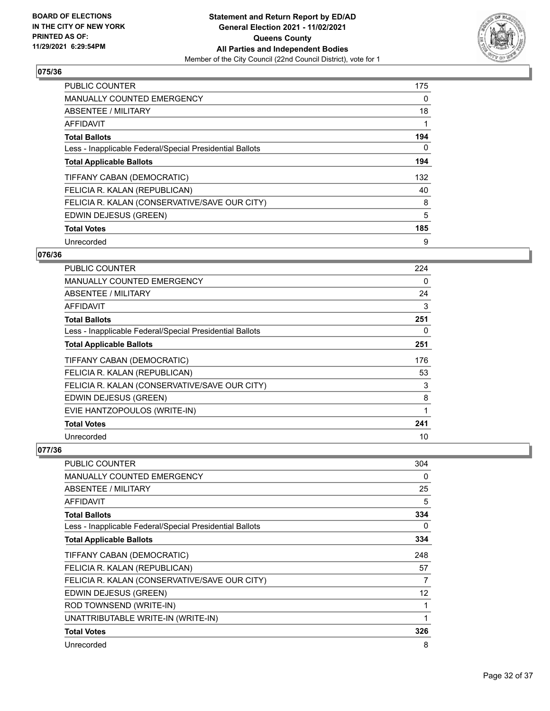

| <b>PUBLIC COUNTER</b>                                    | 175 |
|----------------------------------------------------------|-----|
| <b>MANUALLY COUNTED EMERGENCY</b>                        | 0   |
| ABSENTEE / MILITARY                                      | 18  |
| <b>AFFIDAVIT</b>                                         |     |
| <b>Total Ballots</b>                                     | 194 |
| Less - Inapplicable Federal/Special Presidential Ballots | 0   |
| <b>Total Applicable Ballots</b>                          | 194 |
| TIFFANY CABAN (DEMOCRATIC)                               | 132 |
| FELICIA R. KALAN (REPUBLICAN)                            | 40  |
| FELICIA R. KALAN (CONSERVATIVE/SAVE OUR CITY)            | 8   |
| EDWIN DEJESUS (GREEN)                                    | 5   |
| <b>Total Votes</b>                                       | 185 |
| Unrecorded                                               | 9   |

## **076/36**

| <b>PUBLIC COUNTER</b>                                    | 224 |
|----------------------------------------------------------|-----|
| <b>MANUALLY COUNTED EMERGENCY</b>                        | 0   |
| ABSENTEE / MILITARY                                      | 24  |
| <b>AFFIDAVIT</b>                                         | 3   |
| <b>Total Ballots</b>                                     | 251 |
| Less - Inapplicable Federal/Special Presidential Ballots | 0   |
| <b>Total Applicable Ballots</b>                          | 251 |
| TIFFANY CABAN (DEMOCRATIC)                               | 176 |
| FELICIA R. KALAN (REPUBLICAN)                            | 53  |
| FELICIA R. KALAN (CONSERVATIVE/SAVE OUR CITY)            | 3   |
| EDWIN DEJESUS (GREEN)                                    | 8   |
| EVIE HANTZOPOULOS (WRITE-IN)                             | 1   |
| <b>Total Votes</b>                                       | 241 |
| Unrecorded                                               | 10  |

| <b>PUBLIC COUNTER</b>                                    | 304 |
|----------------------------------------------------------|-----|
| <b>MANUALLY COUNTED EMERGENCY</b>                        | 0   |
| ABSENTEE / MILITARY                                      | 25  |
| AFFIDAVIT                                                | 5   |
| <b>Total Ballots</b>                                     | 334 |
| Less - Inapplicable Federal/Special Presidential Ballots | 0   |
| <b>Total Applicable Ballots</b>                          | 334 |
| TIFFANY CABAN (DEMOCRATIC)                               | 248 |
| FELICIA R. KALAN (REPUBLICAN)                            | 57  |
| FELICIA R. KALAN (CONSERVATIVE/SAVE OUR CITY)            | 7   |
| EDWIN DEJESUS (GREEN)                                    | 12  |
| ROD TOWNSEND (WRITE-IN)                                  |     |
| UNATTRIBUTABLE WRITE-IN (WRITE-IN)                       | 1   |
| <b>Total Votes</b>                                       | 326 |
| Unrecorded                                               | 8   |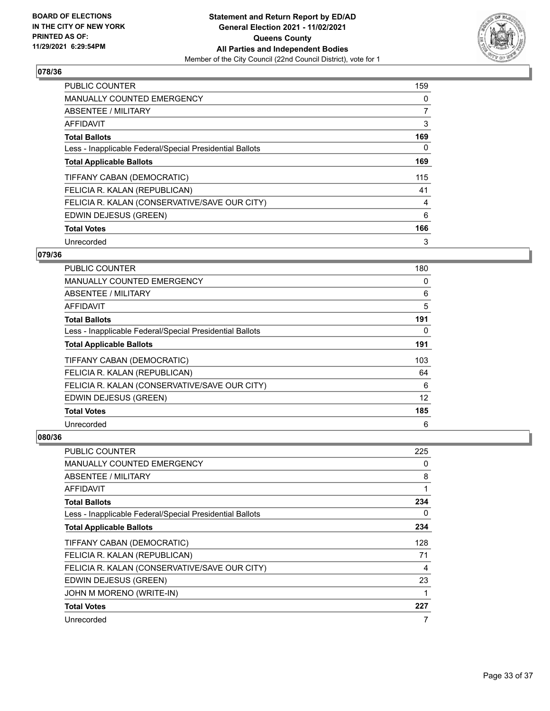

| PUBLIC COUNTER                                           | 159 |
|----------------------------------------------------------|-----|
| <b>MANUALLY COUNTED EMERGENCY</b>                        | 0   |
| ABSENTEE / MILITARY                                      | 7   |
| <b>AFFIDAVIT</b>                                         | 3   |
| <b>Total Ballots</b>                                     | 169 |
| Less - Inapplicable Federal/Special Presidential Ballots | 0   |
| <b>Total Applicable Ballots</b>                          | 169 |
| TIFFANY CABAN (DEMOCRATIC)                               | 115 |
| FELICIA R. KALAN (REPUBLICAN)                            | 41  |
| FELICIA R. KALAN (CONSERVATIVE/SAVE OUR CITY)            | 4   |
| EDWIN DEJESUS (GREEN)                                    | 6   |
| <b>Total Votes</b>                                       | 166 |
| Unrecorded                                               | 3   |

## **079/36**

| PUBLIC COUNTER                                           | 180 |
|----------------------------------------------------------|-----|
| MANUALLY COUNTED EMERGENCY                               | 0   |
| ABSENTEE / MILITARY                                      | 6   |
| AFFIDAVIT                                                | 5   |
| <b>Total Ballots</b>                                     | 191 |
| Less - Inapplicable Federal/Special Presidential Ballots | 0   |
| <b>Total Applicable Ballots</b>                          | 191 |
| TIFFANY CABAN (DEMOCRATIC)                               | 103 |
| FELICIA R. KALAN (REPUBLICAN)                            | 64  |
| FELICIA R. KALAN (CONSERVATIVE/SAVE OUR CITY)            | 6   |
| EDWIN DEJESUS (GREEN)                                    | 12  |
| <b>Total Votes</b>                                       | 185 |
| Unrecorded                                               | 6   |

| <b>PUBLIC COUNTER</b>                                    | 225 |
|----------------------------------------------------------|-----|
| <b>MANUALLY COUNTED EMERGENCY</b>                        | 0   |
| ABSENTEE / MILITARY                                      | 8   |
| AFFIDAVIT                                                | 1   |
| <b>Total Ballots</b>                                     | 234 |
| Less - Inapplicable Federal/Special Presidential Ballots | 0   |
| <b>Total Applicable Ballots</b>                          | 234 |
| TIFFANY CABAN (DEMOCRATIC)                               | 128 |
| FELICIA R. KALAN (REPUBLICAN)                            | 71  |
| FELICIA R. KALAN (CONSERVATIVE/SAVE OUR CITY)            | 4   |
| EDWIN DEJESUS (GREEN)                                    | 23  |
| JOHN M MORENO (WRITE-IN)                                 |     |
| <b>Total Votes</b>                                       | 227 |
| Unrecorded                                               | 7   |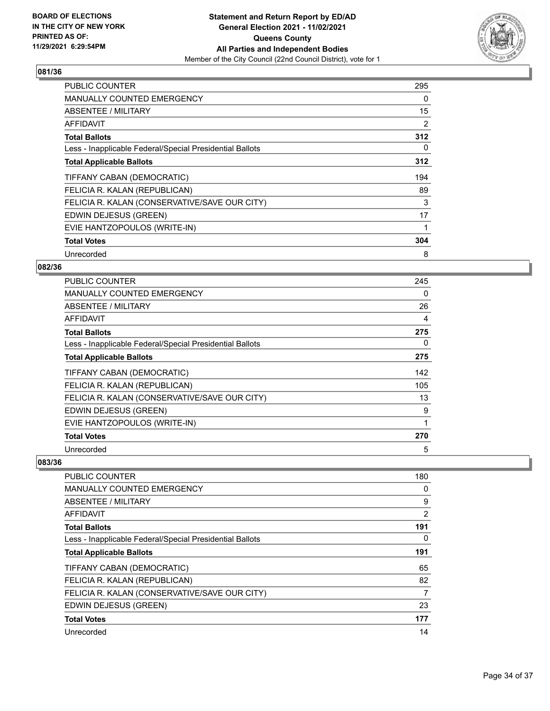

| <b>PUBLIC COUNTER</b>                                    | 295 |
|----------------------------------------------------------|-----|
| <b>MANUALLY COUNTED EMERGENCY</b>                        | 0   |
| ABSENTEE / MILITARY                                      | 15  |
| AFFIDAVIT                                                | 2   |
| <b>Total Ballots</b>                                     | 312 |
| Less - Inapplicable Federal/Special Presidential Ballots | 0   |
| <b>Total Applicable Ballots</b>                          | 312 |
| TIFFANY CABAN (DEMOCRATIC)                               | 194 |
| FELICIA R. KALAN (REPUBLICAN)                            | 89  |
| FELICIA R. KALAN (CONSERVATIVE/SAVE OUR CITY)            | 3   |
| EDWIN DEJESUS (GREEN)                                    | 17  |
| EVIE HANTZOPOULOS (WRITE-IN)                             | 1   |
| <b>Total Votes</b>                                       | 304 |
| Unrecorded                                               | 8   |

## **082/36**

| <b>PUBLIC COUNTER</b>                                    | 245 |
|----------------------------------------------------------|-----|
| <b>MANUALLY COUNTED EMERGENCY</b>                        | 0   |
| ABSENTEE / MILITARY                                      | 26  |
| AFFIDAVIT                                                | 4   |
| <b>Total Ballots</b>                                     | 275 |
| Less - Inapplicable Federal/Special Presidential Ballots | 0   |
| <b>Total Applicable Ballots</b>                          | 275 |
| TIFFANY CABAN (DEMOCRATIC)                               | 142 |
| FELICIA R. KALAN (REPUBLICAN)                            | 105 |
| FELICIA R. KALAN (CONSERVATIVE/SAVE OUR CITY)            | 13  |
| EDWIN DEJESUS (GREEN)                                    | 9   |
| EVIE HANTZOPOULOS (WRITE-IN)                             | 1   |
| <b>Total Votes</b>                                       | 270 |
| Unrecorded                                               | 5   |

| PUBLIC COUNTER                                           | 180            |
|----------------------------------------------------------|----------------|
| <b>MANUALLY COUNTED EMERGENCY</b>                        | 0              |
| ABSENTEE / MILITARY                                      | 9              |
| AFFIDAVIT                                                | $\overline{2}$ |
| <b>Total Ballots</b>                                     | 191            |
| Less - Inapplicable Federal/Special Presidential Ballots | 0              |
| <b>Total Applicable Ballots</b>                          | 191            |
| TIFFANY CABAN (DEMOCRATIC)                               | 65             |
| FELICIA R. KALAN (REPUBLICAN)                            | 82             |
| FELICIA R. KALAN (CONSERVATIVE/SAVE OUR CITY)            | 7              |
| EDWIN DEJESUS (GREEN)                                    | 23             |
| <b>Total Votes</b>                                       | 177            |
| Unrecorded                                               | 14             |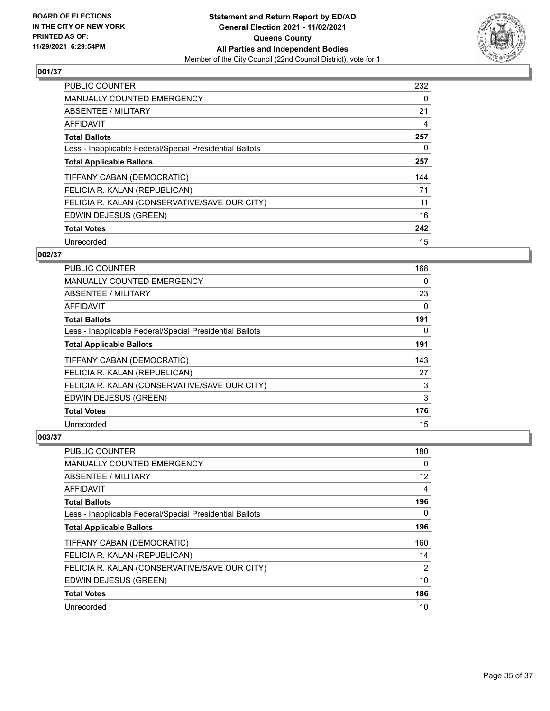

| PUBLIC COUNTER                                           | 232 |
|----------------------------------------------------------|-----|
| <b>MANUALLY COUNTED EMERGENCY</b>                        | 0   |
| ABSENTEE / MILITARY                                      | 21  |
| <b>AFFIDAVIT</b>                                         | 4   |
| <b>Total Ballots</b>                                     | 257 |
| Less - Inapplicable Federal/Special Presidential Ballots | 0   |
| <b>Total Applicable Ballots</b>                          | 257 |
| TIFFANY CABAN (DEMOCRATIC)                               | 144 |
| FELICIA R. KALAN (REPUBLICAN)                            | 71  |
| FELICIA R. KALAN (CONSERVATIVE/SAVE OUR CITY)            | 11  |
| EDWIN DEJESUS (GREEN)                                    | 16  |
| <b>Total Votes</b>                                       | 242 |
| Unrecorded                                               | 15  |

## **002/37**

| PUBLIC COUNTER                                           | 168 |
|----------------------------------------------------------|-----|
| MANUALLY COUNTED EMERGENCY                               | 0   |
| ABSENTEE / MILITARY                                      | 23  |
| AFFIDAVIT                                                | 0   |
| <b>Total Ballots</b>                                     | 191 |
| Less - Inapplicable Federal/Special Presidential Ballots | 0   |
| <b>Total Applicable Ballots</b>                          | 191 |
| TIFFANY CABAN (DEMOCRATIC)                               | 143 |
| FELICIA R. KALAN (REPUBLICAN)                            | 27  |
| FELICIA R. KALAN (CONSERVATIVE/SAVE OUR CITY)            | 3   |
| EDWIN DEJESUS (GREEN)                                    | 3   |
| <b>Total Votes</b>                                       | 176 |
| Unrecorded                                               | 15  |

| PUBLIC COUNTER                                           | 180            |
|----------------------------------------------------------|----------------|
| <b>MANUALLY COUNTED EMERGENCY</b>                        | $\Omega$       |
| ABSENTEE / MILITARY                                      | 12             |
| AFFIDAVIT                                                | 4              |
| <b>Total Ballots</b>                                     | 196            |
| Less - Inapplicable Federal/Special Presidential Ballots | $\Omega$       |
| <b>Total Applicable Ballots</b>                          | 196            |
| TIFFANY CABAN (DEMOCRATIC)                               | 160            |
| FELICIA R. KALAN (REPUBLICAN)                            | 14             |
| FELICIA R. KALAN (CONSERVATIVE/SAVE OUR CITY)            | $\overline{2}$ |
| EDWIN DEJESUS (GREEN)                                    | 10             |
| <b>Total Votes</b>                                       | 186            |
| Unrecorded                                               | 10             |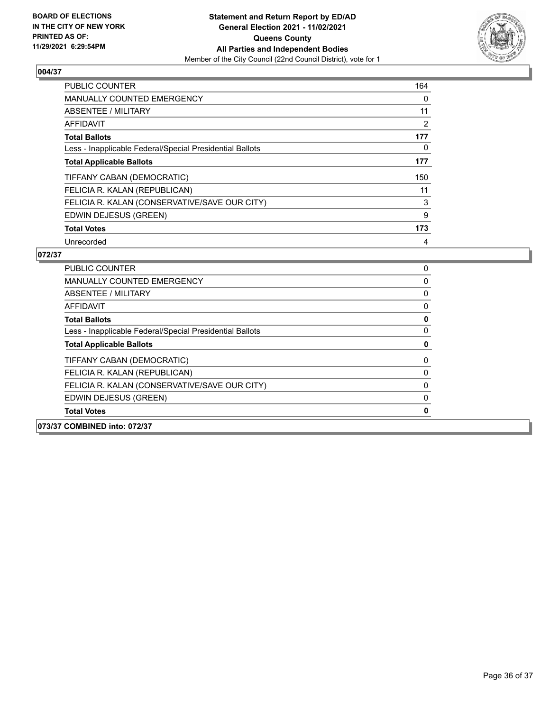

| PUBLIC COUNTER                                           |     |
|----------------------------------------------------------|-----|
| <b>MANUALLY COUNTED EMERGENCY</b>                        |     |
| ABSENTEE / MILITARY                                      | 11  |
| <b>AFFIDAVIT</b>                                         | 2   |
| <b>Total Ballots</b>                                     | 177 |
| Less - Inapplicable Federal/Special Presidential Ballots | 0   |
| <b>Total Applicable Ballots</b>                          | 177 |
| TIFFANY CABAN (DEMOCRATIC)                               | 150 |
| FELICIA R. KALAN (REPUBLICAN)                            | 11  |
| FELICIA R. KALAN (CONSERVATIVE/SAVE OUR CITY)            | 3   |
| EDWIN DEJESUS (GREEN)                                    | 9   |
| <b>Total Votes</b>                                       | 173 |
| Unrecorded                                               | 4   |

| 073/37 COMBINED into: 072/37 |                                                          |          |
|------------------------------|----------------------------------------------------------|----------|
| <b>Total Votes</b>           |                                                          | 0        |
|                              | EDWIN DEJESUS (GREEN)                                    | 0        |
|                              | FELICIA R. KALAN (CONSERVATIVE/SAVE OUR CITY)            | 0        |
|                              | FELICIA R. KALAN (REPUBLICAN)                            | 0        |
|                              | TIFFANY CABAN (DEMOCRATIC)                               | 0        |
|                              | <b>Total Applicable Ballots</b>                          | 0        |
|                              | Less - Inapplicable Federal/Special Presidential Ballots | 0        |
| <b>Total Ballots</b>         |                                                          | 0        |
| AFFIDAVIT                    |                                                          | 0        |
|                              | ABSENTEE / MILITARY                                      | 0        |
|                              | <b>MANUALLY COUNTED EMERGENCY</b>                        | $\Omega$ |
| PUBLIC COUNTER               |                                                          | 0        |